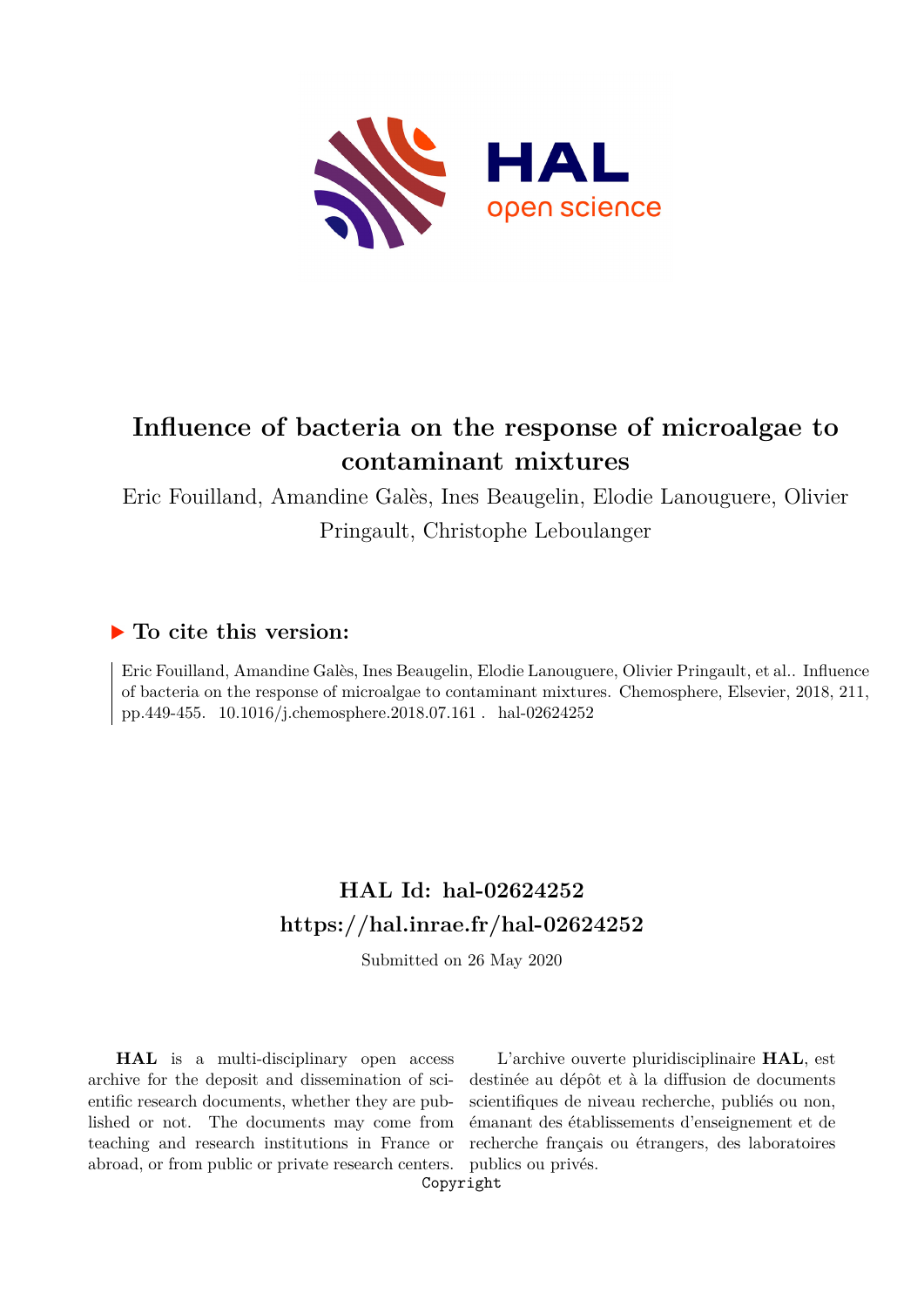

# **Influence of bacteria on the response of microalgae to contaminant mixtures**

Eric Fouilland, Amandine Galès, Ines Beaugelin, Elodie Lanouguere, Olivier Pringault, Christophe Leboulanger

# **To cite this version:**

Eric Fouilland, Amandine Galès, Ines Beaugelin, Elodie Lanouguere, Olivier Pringault, et al.. Influence of bacteria on the response of microalgae to contaminant mixtures. Chemosphere, Elsevier, 2018, 211, pp.449-455. 10.1016/j.chemosphere.2018.07.161 . hal-02624252

# **HAL Id: hal-02624252 <https://hal.inrae.fr/hal-02624252>**

Submitted on 26 May 2020

**HAL** is a multi-disciplinary open access archive for the deposit and dissemination of scientific research documents, whether they are published or not. The documents may come from teaching and research institutions in France or abroad, or from public or private research centers.

L'archive ouverte pluridisciplinaire **HAL**, est destinée au dépôt et à la diffusion de documents scientifiques de niveau recherche, publiés ou non, émanant des établissements d'enseignement et de recherche français ou étrangers, des laboratoires publics ou privés.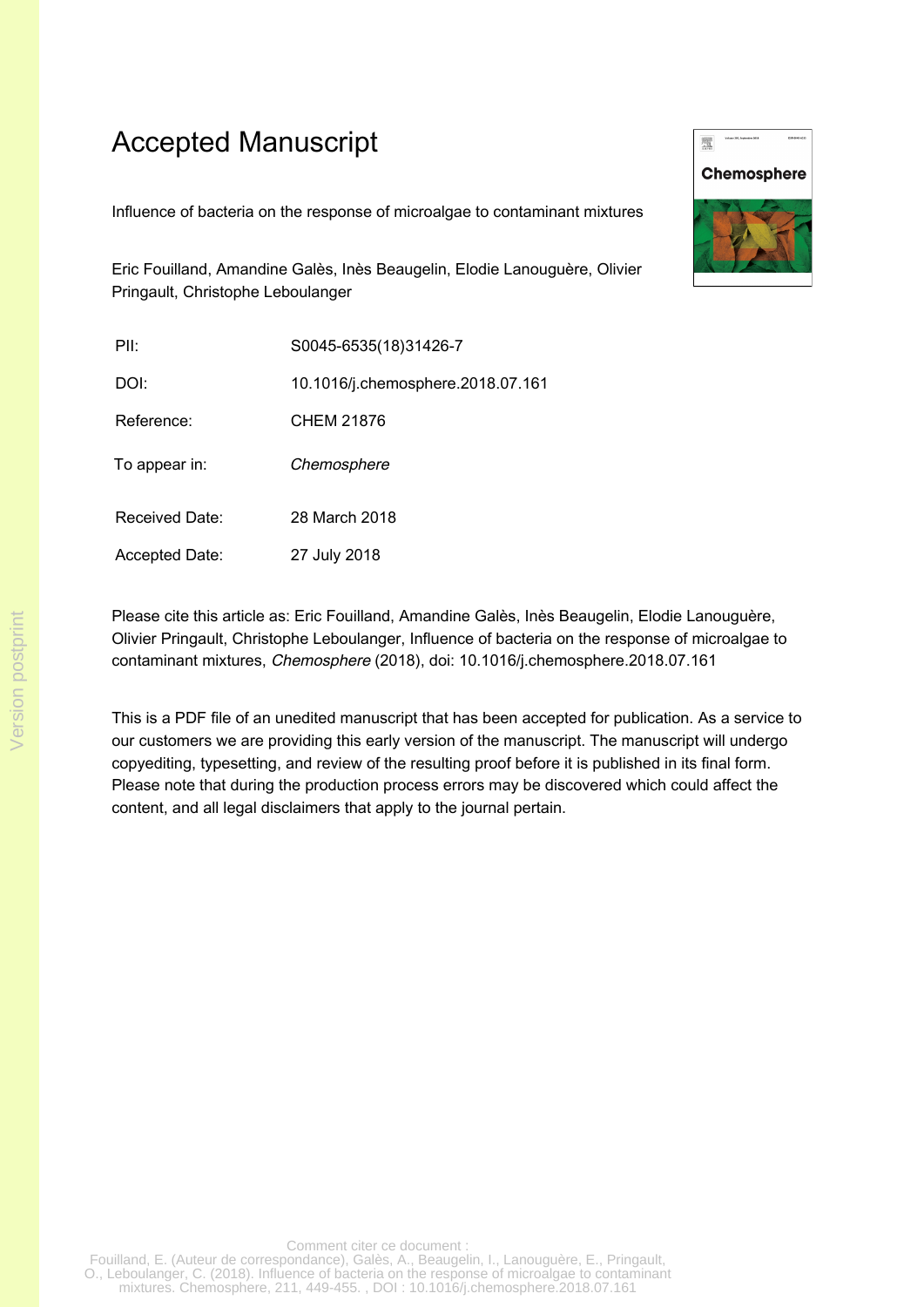# Accepted Manuscript

Influence of bacteria on the response of microalgae to contaminant mixtures

Eric Fouilland, Amandine Galès, Inès Beaugelin, Elodie Lanouguère, Olivier Pringault, Christophe Leboulanger

| PII:                  | S0045-6535(18)31426-7             |
|-----------------------|-----------------------------------|
| DOI:                  | 10.1016/j.chemosphere.2018.07.161 |
| Reference:            | CHEM 21876                        |
| To appear in:         | Chemosphere                       |
| <b>Received Date:</b> | 28 March 2018                     |
| Accepted Date:        | 27 July 2018                      |



This is a PDF file of an unedited manuscript that has been accepted for publication. As a service to our customers we are providing this early version of the manuscript. The manuscript will undergo copyediting, typesetting, and review of the resulting proof before it is published in its final form. Please note that during the production process errors may be discovered which could affect the content, and all legal disclaimers that apply to the journal pertain.



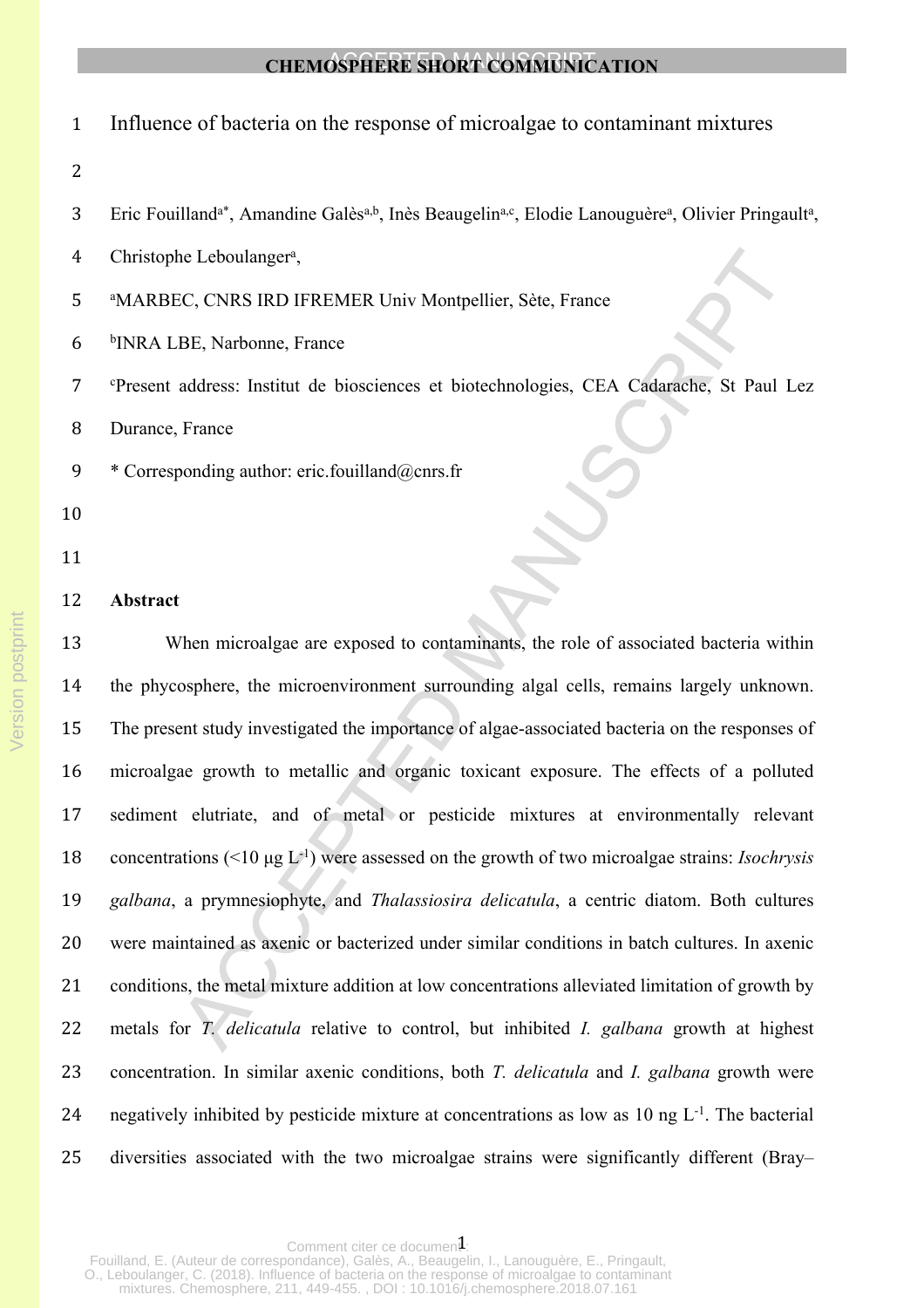| $\mathbf{1}$   | Influence of bacteria on the response of microalgae to contaminant mixtures                                                                                      |
|----------------|------------------------------------------------------------------------------------------------------------------------------------------------------------------|
| $\overline{2}$ |                                                                                                                                                                  |
| 3              | Eric Fouilland <sup>a*</sup> , Amandine Galès <sup>a,b</sup> , Inès Beaugelin <sup>a,c</sup> , Elodie Lanouguère <sup>a</sup> , Olivier Pringault <sup>a</sup> , |
| 4              | Christophe Leboulanger <sup>a</sup> ,                                                                                                                            |
| 5              | <sup>a</sup> MARBEC, CNRS IRD IFREMER Univ Montpellier, Sète, France                                                                                             |
| 6              | <sup>b</sup> INRA LBE, Narbonne, France                                                                                                                          |
| 7              | <sup>c</sup> Present address: Institut de biosciences et biotechnologies, CEA Cadarache, St Paul Lez                                                             |
| 8              | Durance, France                                                                                                                                                  |
| 9              | * Corresponding author: eric.fouilland@cnrs.fr                                                                                                                   |
| 10             |                                                                                                                                                                  |
| 11             |                                                                                                                                                                  |
| 12             | Abstract                                                                                                                                                         |
| 13             | When microalgae are exposed to contaminants, the role of associated bacteria within                                                                              |
| 14             | the phycosphere, the microenvironment surrounding algal cells, remains largely unknown.                                                                          |
| 15             | The present study investigated the importance of algae-associated bacteria on the responses of                                                                   |
| 16             | microalgae growth to metallic and organic toxicant exposure. The effects of a polluted                                                                           |
| 17             | sediment elutriate, and of metal or pesticide mixtures at environmentally relevant                                                                               |
| 18             | concentrations (<10 $\mu$ g L <sup>-1</sup> ) were assessed on the growth of two microalgae strains: <i>Isochrysis</i>                                           |
| 19             | galbana, a prymnesiophyte, and Thalassiosira delicatula, a centric diatom. Both cultures                                                                         |
| 20             | were maintained as axenic or bacterized under similar conditions in batch cultures. In axenic                                                                    |
| 21             | conditions, the metal mixture addition at low concentrations alleviated limitation of growth by                                                                  |
| 22             | metals for <i>T. delicatula</i> relative to control, but inhibited <i>I. galbana</i> growth at highest                                                           |
| 23             | concentration. In similar axenic conditions, both <i>T. delicatula</i> and <i>I. galbana</i> growth were                                                         |
| 24             | negatively inhibited by pesticide mixture at concentrations as low as 10 ng L <sup>-1</sup> . The bacterial                                                      |
| 25             | diversities associated with the two microalgae strains were significantly different (Bray-                                                                       |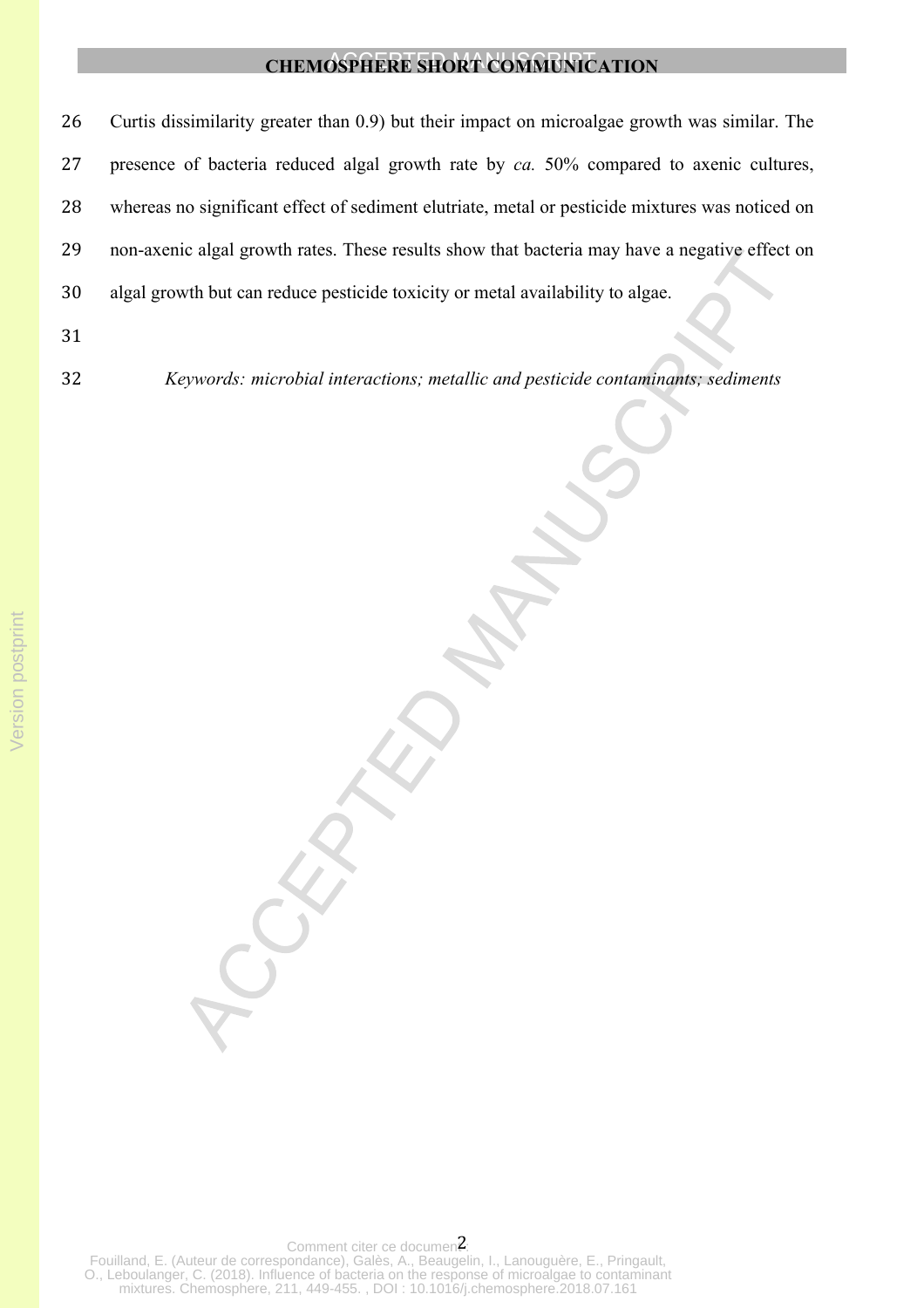Curtis dissimilarity greater than 0.9) but their impact on microalgae growth was similar. The presence of bacteria reduced algal growth rate by *ca.* 50% compared to axenic cultures, whereas no significant effect of sediment elutriate, metal or pesticide mixtures was noticed on non-axenic algal growth rates. These results show that bacteria may have a negative effect on algal growth but can reduce pesticide toxicity or metal availability to algae.

- 31
- 

32 *Keywords: microbial interactions; metallic and pesticide contaminants; sediments*

Comment citer ce documen $2$ : Fouilland, E. (Auteur de correspondance), Galès, A., Beaugelin, I., Lanouguère, E., Pringault, O., Leboulanger, C. (2018). Influence of bacteria on the response of microalgae to contaminant mixtures. Chemosphere, 211, 449-455. , DOI : 10.1016/j.chemosphere.2018.07.161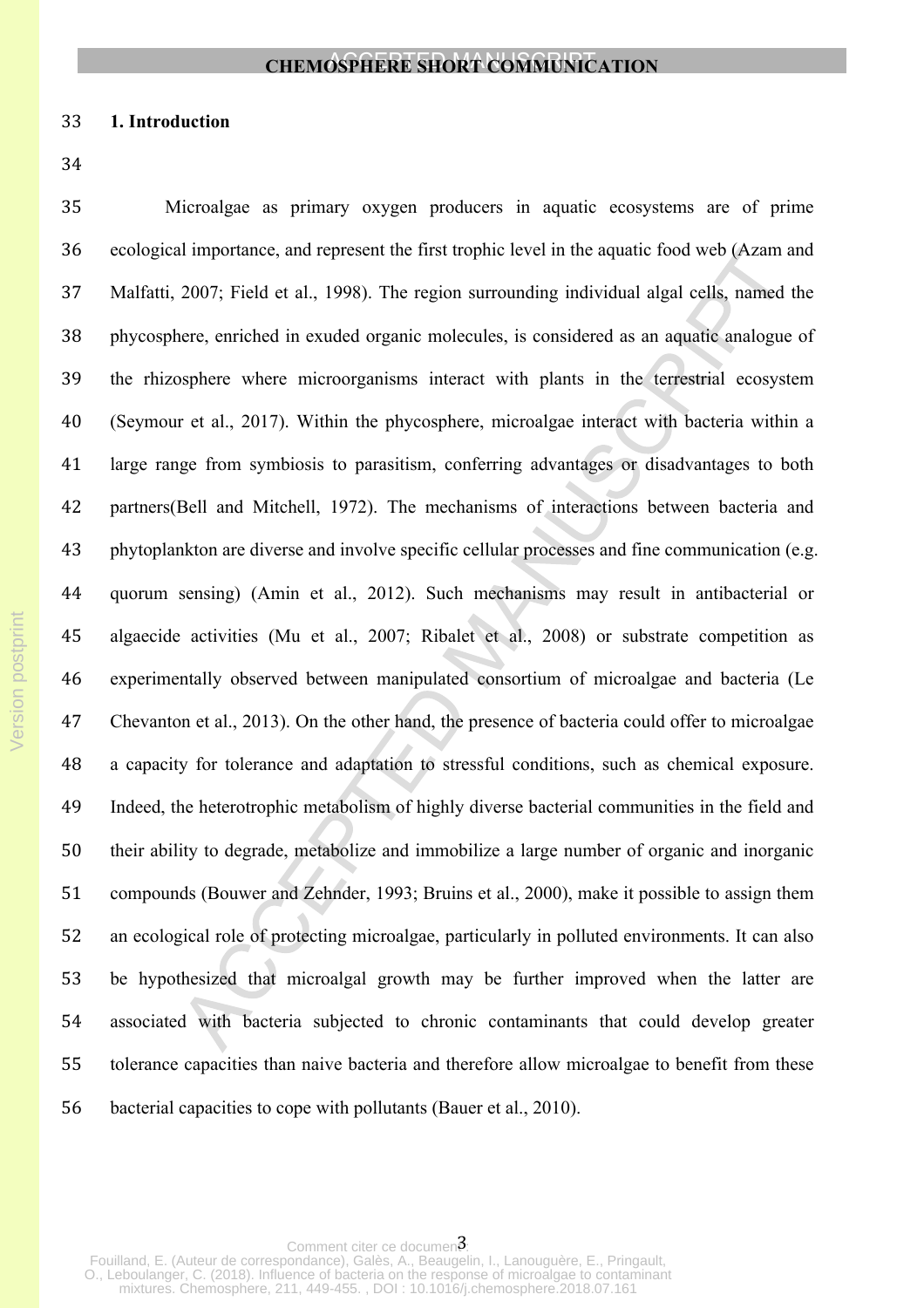#### **1. Introduction**

 Microalgae as primary oxygen producers in aquatic ecosystems are of prime ecological importance, and represent the first trophic level in the aquatic food web (Azam and Malfatti, 2007; Field et al., 1998). The region surrounding individual algal cells, named the phycosphere, enriched in exuded organic molecules, is considered as an aquatic analogue of the rhizosphere where microorganisms interact with plants in the terrestrial ecosystem (Seymour et al., 2017). Within the phycosphere, microalgae interact with bacteria within a large range from symbiosis to parasitism, conferring advantages or disadvantages to both partners(Bell and Mitchell, 1972). The mechanisms of interactions between bacteria and phytoplankton are diverse and involve specific cellular processes and fine communication (e.g. quorum sensing) (Amin et al., 2012). Such mechanisms may result in antibacterial or algaecide activities (Mu et al., 2007; Ribalet et al., 2008) or substrate competition as experimentally observed between manipulated consortium of microalgae and bacteria (Le Chevanton et al., 2013). On the other hand, the presence of bacteria could offer to microalgae a capacity for tolerance and adaptation to stressful conditions, such as chemical exposure. Indeed, the heterotrophic metabolism of highly diverse bacterial communities in the field and their ability to degrade, metabolize and immobilize a large number of organic and inorganic compounds (Bouwer and Zehnder, 1993; Bruins et al., 2000), make it possible to assign them an ecological role of protecting microalgae, particularly in polluted environments. It can also be hypothesized that microalgal growth may be further improved when the latter are associated with bacteria subjected to chronic contaminants that could develop greater tolerance capacities than naive bacteria and therefore allow microalgae to benefit from these bacterial capacities to cope with pollutants (Bauer et al., 2010).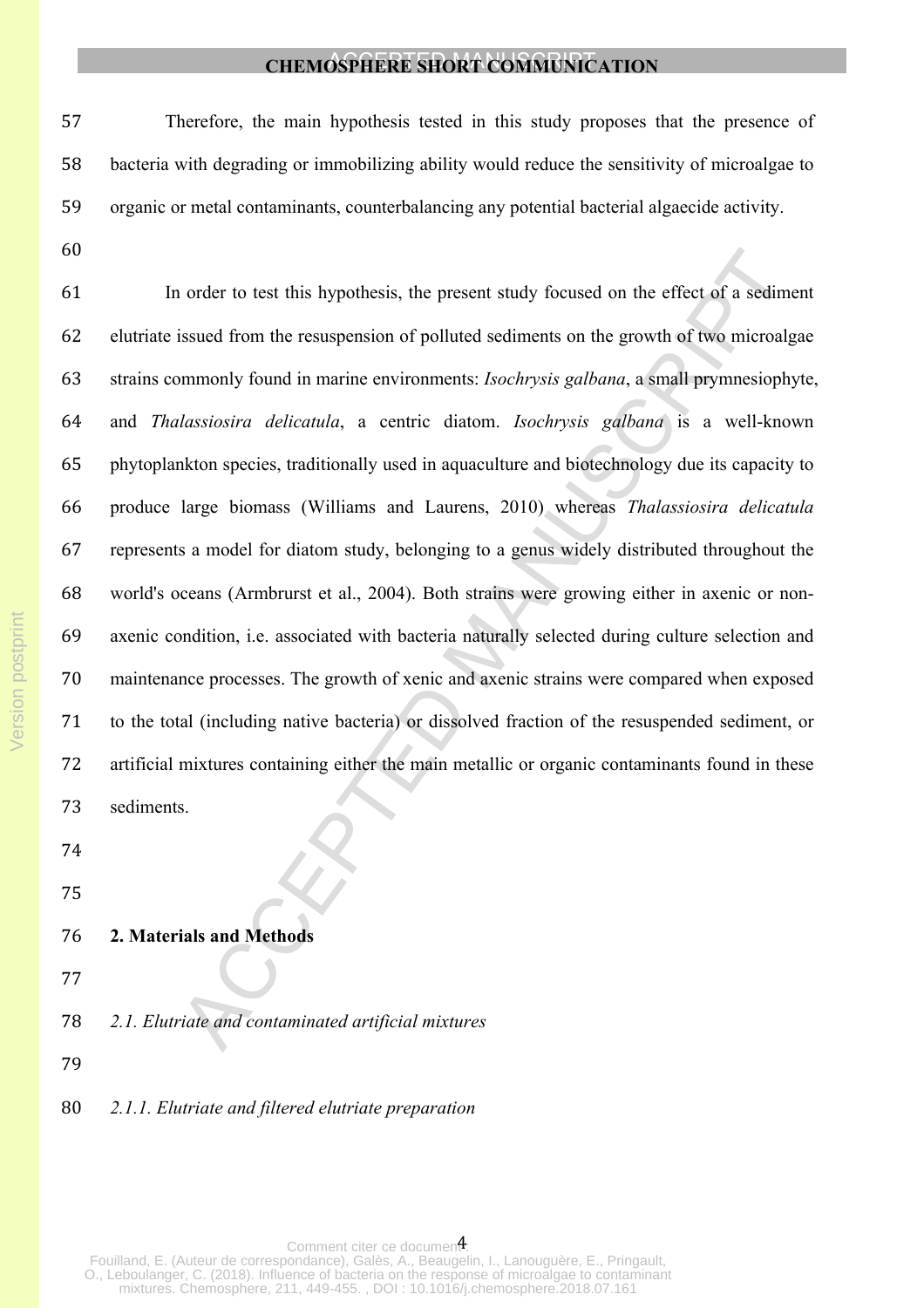| 57 | Therefore, the main hypothesis tested in this study proposes that the presence of             |
|----|-----------------------------------------------------------------------------------------------|
| 58 | bacteria with degrading or immobilizing ability would reduce the sensitivity of microalgae to |
| 59 | organic or metal contaminants, counterbalancing any potential bacterial algaecide activity.   |

 In order to test this hypothesis, the present study focused on the effect of a sediment elutriate issued from the resuspension of polluted sediments on the growth of two microalgae strains commonly found in marine environments: *Isochrysis galbana*, a small prymnesiophyte, and *Thalassiosira delicatula*, a centric diatom. *Isochrysis galbana* is a well-known phytoplankton species, traditionally used in aquaculture and biotechnology due its capacity to produce large biomass (Williams and Laurens, 2010) whereas *Thalassiosira delicatula* represents a model for diatom study, belonging to a genus widely distributed throughout the world's oceans (Armbrurst et al., 2004). Both strains were growing either in axenic or non- axenic condition, i.e. associated with bacteria naturally selected during culture selection and maintenance processes. The growth of xenic and axenic strains were compared when exposed to the total (including native bacteria) or dissolved fraction of the resuspended sediment, or artificial mixtures containing either the main metallic or organic contaminants found in these sediments.

#### **2. Materials and Methods**

- 
- *2.1. Elutriate and contaminated artificial mixtures*
- 
- *2.1.1. Elutriate and filtered elutriate preparation*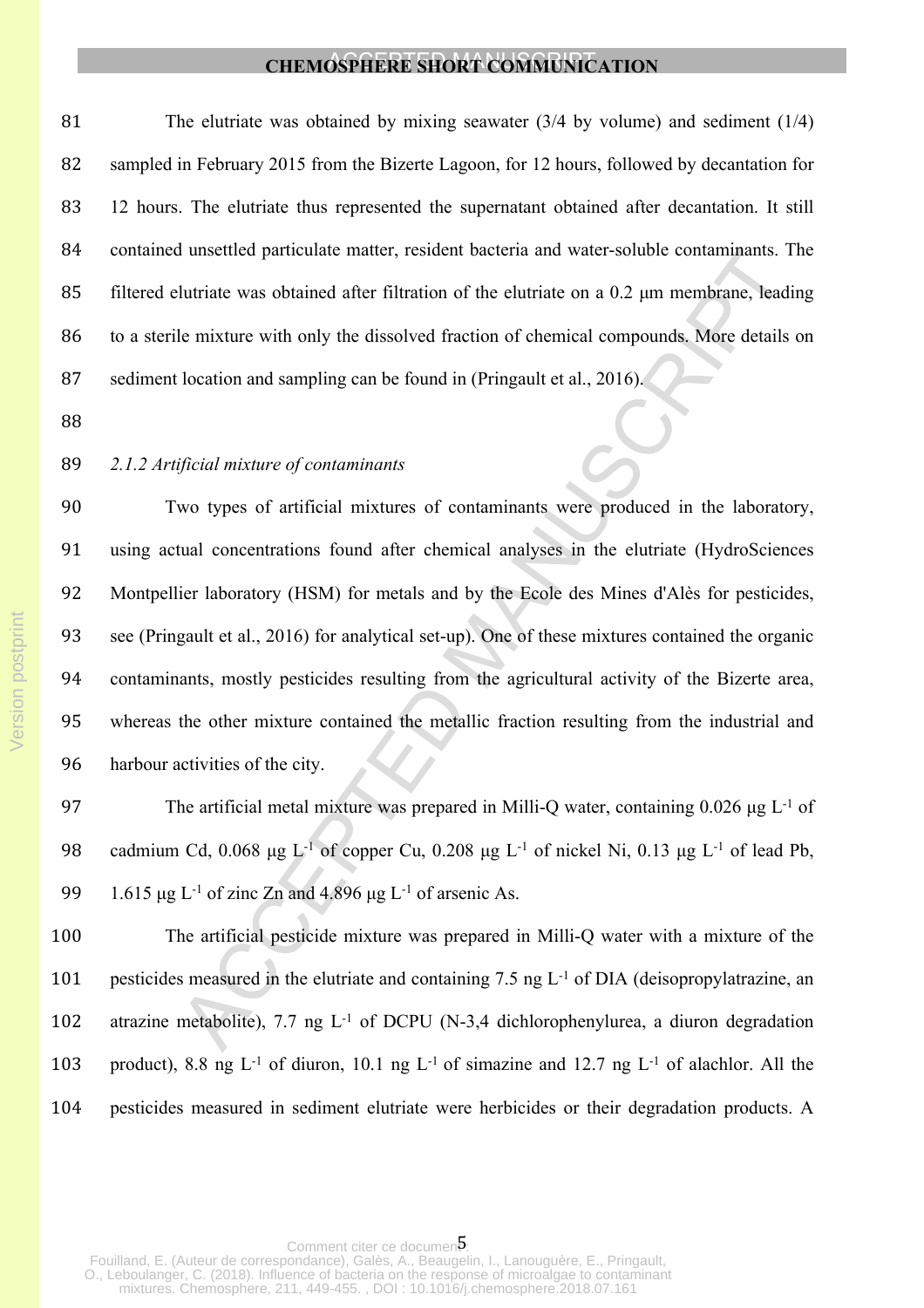The elutriate was obtained by mixing seawater (3/4 by volume) and sediment (1/4) sampled in February 2015 from the Bizerte Lagoon, for 12 hours, followed by decantation for 12 hours. The elutriate thus represented the supernatant obtained after decantation. It still contained unsettled particulate matter, resident bacteria and water-soluble contaminants. The filtered elutriate was obtained after filtration of the elutriate on a 0.2 μm membrane, leading to a sterile mixture with only the dissolved fraction of chemical compounds. More details on sediment location and sampling can be found in (Pringault et al., 2016).

#### *2.1.2 Artificial mixture of contaminants*

 Two types of artificial mixtures of contaminants were produced in the laboratory, using actual concentrations found after chemical analyses in the elutriate (HydroSciences Montpellier laboratory (HSM) for metals and by the Ecole des Mines d'Alès for pesticides, see (Pringault et al., 2016) for analytical set-up). One of these mixtures contained the organic contaminants, mostly pesticides resulting from the agricultural activity of the Bizerte area, whereas the other mixture contained the metallic fraction resulting from the industrial and harbour activities of the city.

 The artificial metal mixture was prepared in Milli-Q water, containing 0.026 μg L-1 of cadmium Cd, 0.068 μg L-1 of copper Cu, 0.208 μg L-1 of nickel Ni, 0.13 μg L-1 of lead Pb, 99 1.615 μg L<sup>-1</sup> of zinc Zn and 4.896 μg L<sup>-1</sup> of arsenic As.

 The artificial pesticide mixture was prepared in Milli-Q water with a mixture of the pesticides measured in the elutriate and containing 7.5 ng L-1 of DIA (deisopropylatrazine, an 102 atrazine metabolite), 7.7 ng L<sup>-1</sup> of DCPU (N-3,4 dichlorophenylurea, a diuron degradation 103 product), 8.8 ng L<sup>-1</sup> of diuron, 10.1 ng L<sup>-1</sup> of simazine and 12.7 ng L<sup>-1</sup> of alachlor. All the pesticides measured in sediment elutriate were herbicides or their degradation products. A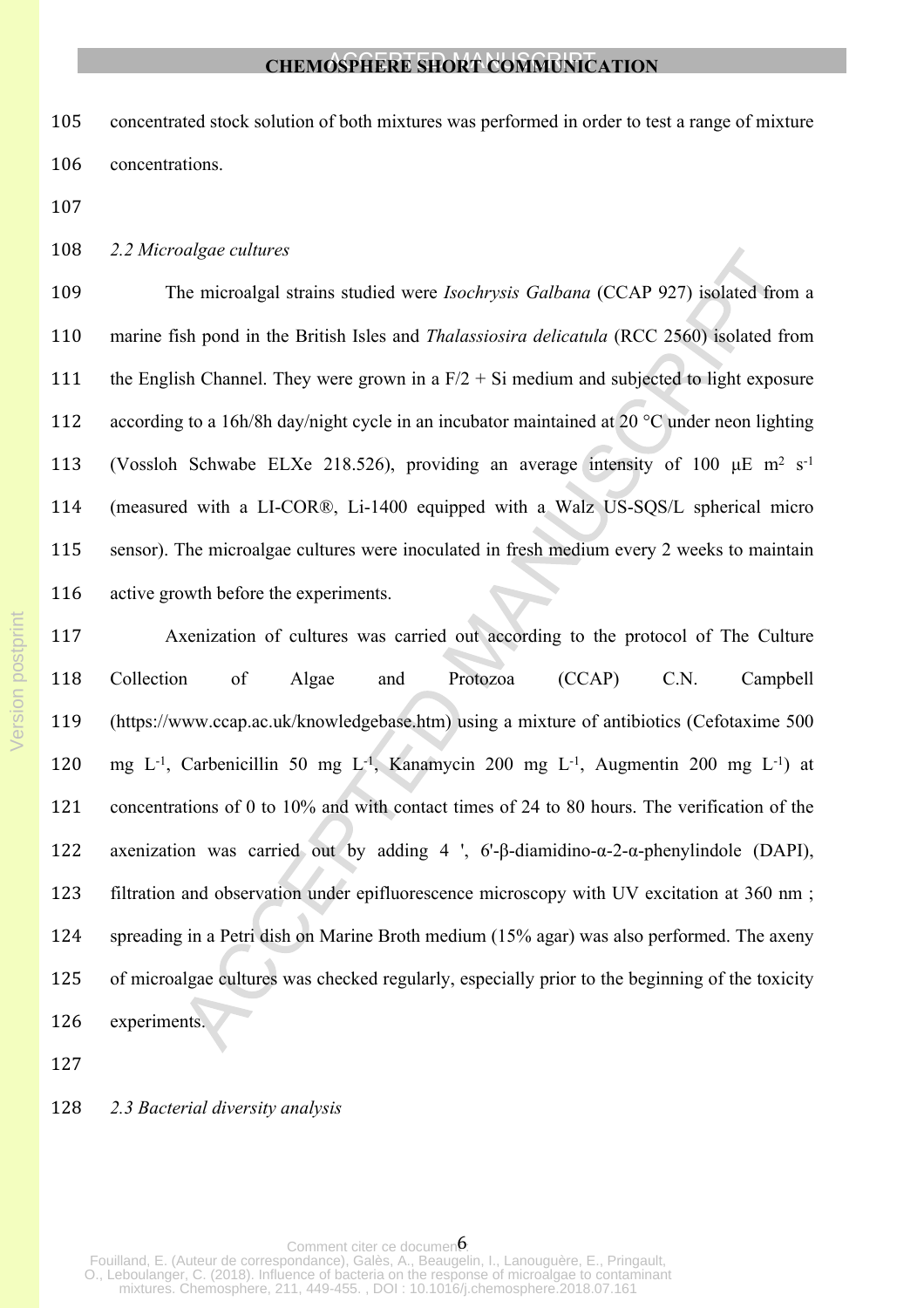concentrated stock solution of both mixtures was performed in order to test a range of mixture concentrations.

#### *2.2 Microalgae cultures*

 The microalgal strains studied were *Isochrysis Galbana* (CCAP 927) isolated from a marine fish pond in the British Isles and *Thalassiosira delicatula* (RCC 2560) isolated from 111 the English Channel. They were grown in a  $F/2 + Si$  medium and subjected to light exposure 112 according to a 16h/8h day/night cycle in an incubator maintained at 20 °C under neon lighting 113 (Vossloh Schwabe ELXe 218.526), providing an average intensity of 100  $\mu$ E m<sup>2</sup> s<sup>-1</sup> (measured with a LI-COR®, Li-1400 equipped with a Walz US-SQS/L spherical micro sensor). The microalgae cultures were inoculated in fresh medium every 2 weeks to maintain active growth before the experiments.

 Axenization of cultures was carried out according to the protocol of The Culture Collection of Algae and Protozoa (CCAP) C.N. Campbell (https://www.ccap.ac.uk/knowledgebase.htm) using a mixture of antibiotics (Cefotaxime 500 mg L-1, Carbenicillin 50 mg L-1, Kanamycin 200 mg L-1, Augmentin 200 mg L-1) at concentrations of 0 to 10% and with contact times of 24 to 80 hours. The verification of the axenization was carried out by adding 4 ', 6'-β-diamidino-α-2-α-phenylindole (DAPI), filtration and observation under epifluorescence microscopy with UV excitation at 360 nm ; spreading in a Petri dish on Marine Broth medium (15% agar) was also performed. The axeny of microalgae cultures was checked regularly, especially prior to the beginning of the toxicity experiments.

#### *2.3 Bacterial diversity analysis*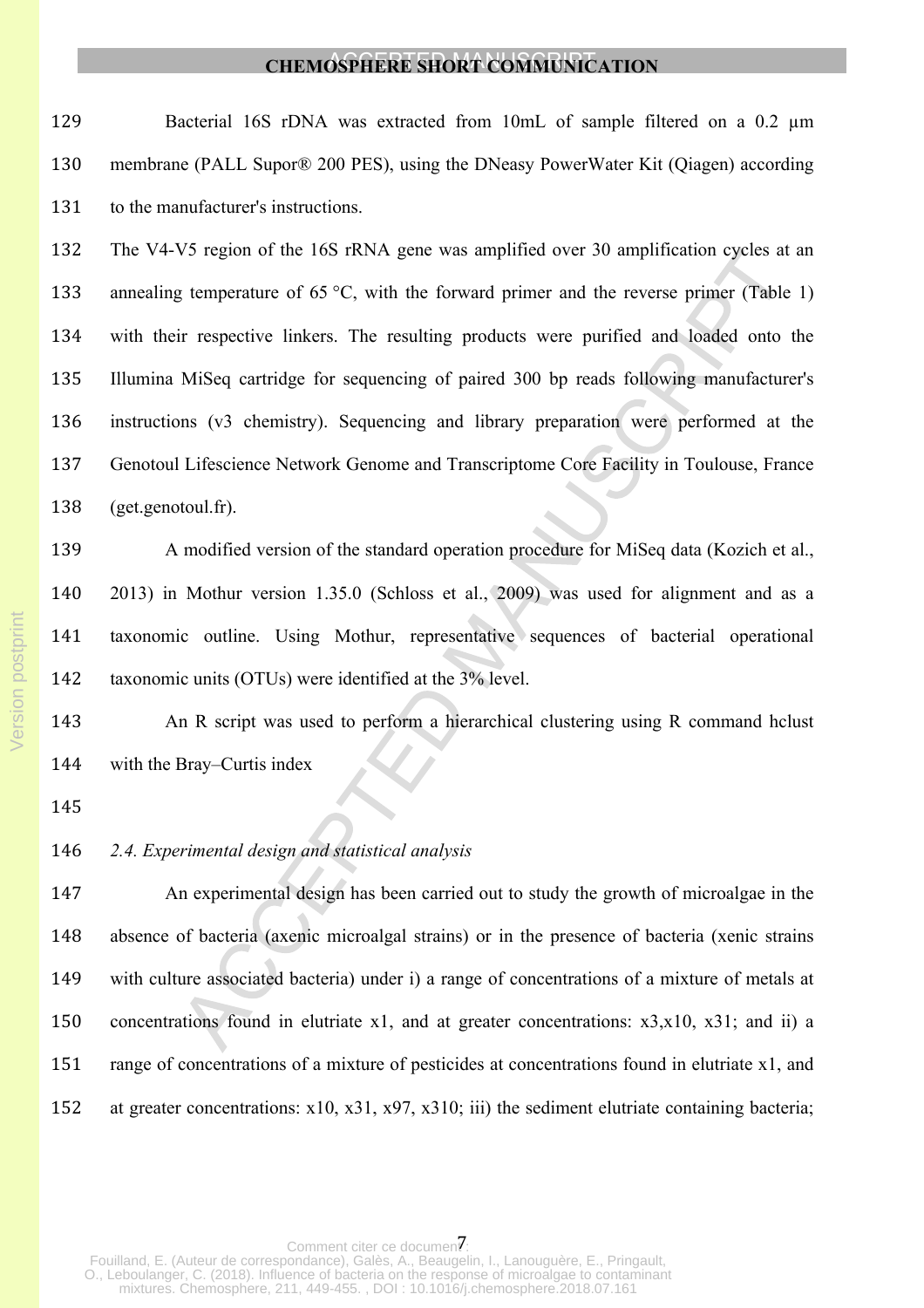129 Bacterial 16S rDNA was extracted from 10mL of sample filtered on a 0.2  $\mu$ m membrane (PALL Supor® 200 PES), using the DNeasy PowerWater Kit (Qiagen) according to the manufacturer's instructions.

 The V4-V5 region of the 16S rRNA gene was amplified over 30 amplification cycles at an 133 annealing temperature of 65 °C, with the forward primer and the reverse primer (Table 1) with their respective linkers. The resulting products were purified and loaded onto the Illumina MiSeq cartridge for sequencing of paired 300 bp reads following manufacturer's instructions (v3 chemistry). Sequencing and library preparation were performed at the Genotoul Lifescience Network Genome and Transcriptome Core Facility in Toulouse, France (get.genotoul.fr).

 A modified version of the standard operation procedure for MiSeq data (Kozich et al., 2013) in Mothur version 1.35.0 (Schloss et al., 2009) was used for alignment and as a taxonomic outline. Using Mothur, representative sequences of bacterial operational taxonomic units (OTUs) were identified at the 3% level.

 An R script was used to perform a hierarchical clustering using R command hclust with the Bray–Curtis index

### *2.4. Experimental design and statistical analysis*

 An experimental design has been carried out to study the growth of microalgae in the absence of bacteria (axenic microalgal strains) or in the presence of bacteria (xenic strains with culture associated bacteria) under i) a range of concentrations of a mixture of metals at concentrations found in elutriate x1, and at greater concentrations: x3,x10, x31; and ii) a range of concentrations of a mixture of pesticides at concentrations found in elutriate x1, and at greater concentrations: x10, x31, x97, x310; iii) the sediment elutriate containing bacteria;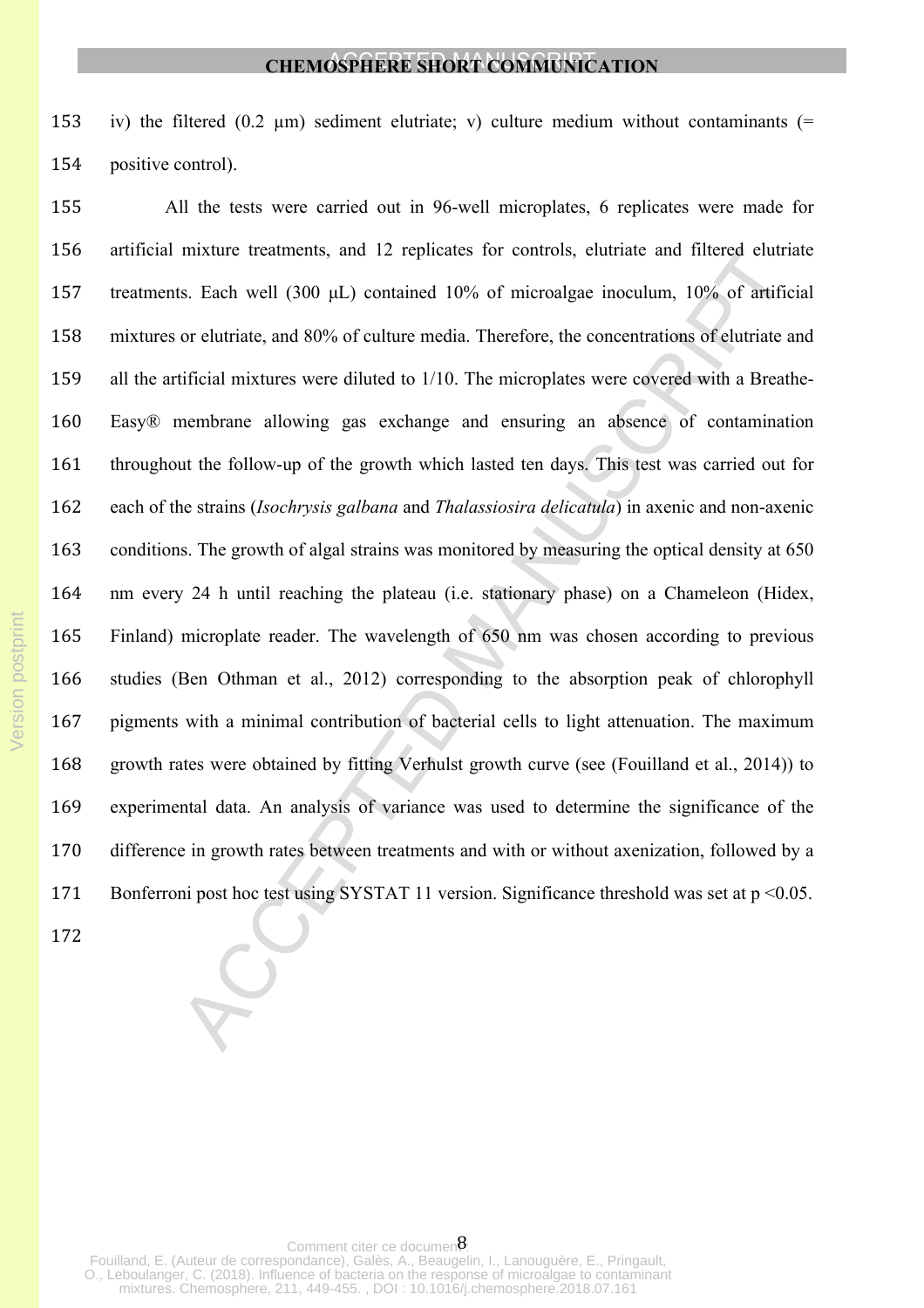153 iv) the filtered  $(0.2 \mu m)$  sediment elutriate; v) culture medium without contaminants  $(=$ positive control).

 All the tests were carried out in 96-well microplates, 6 replicates were made for artificial mixture treatments, and 12 replicates for controls, elutriate and filtered elutriate treatments. Each well (300 μL) contained 10% of microalgae inoculum, 10% of artificial mixtures or elutriate, and 80% of culture media. Therefore, the concentrations of elutriate and all the artificial mixtures were diluted to 1/10. The microplates were covered with a Breathe- Easy® membrane allowing gas exchange and ensuring an absence of contamination throughout the follow-up of the growth which lasted ten days. This test was carried out for each of the strains (*Isochrysis galbana* and *Thalassiosira delicatula*) in axenic and non-axenic conditions. The growth of algal strains was monitored by measuring the optical density at 650 nm every 24 h until reaching the plateau (i.e. stationary phase) on a Chameleon (Hidex, Finland) microplate reader. The wavelength of 650 nm was chosen according to previous studies (Ben Othman et al., 2012) corresponding to the absorption peak of chlorophyll pigments with a minimal contribution of bacterial cells to light attenuation. The maximum growth rates were obtained by fitting Verhulst growth curve (see (Fouilland et al., 2014)) to experimental data. An analysis of variance was used to determine the significance of the difference in growth rates between treatments and with or without axenization, followed by a Bonferroni post hoc test using SYSTAT 11 version. Significance threshold was set at p <0.05.

Comment citer ce documen: Fouilland, E. (Auteur de correspondance), Galès, A., Beaugelin, I., Lanouguère, E., Pringault, O., Leboulanger, C. (2018). Influence of bacteria on the response of microalgae to contaminant mixtures. Chemosphere, 211, 449-455. , DOI : 10.1016/j.chemosphere.2018.07.161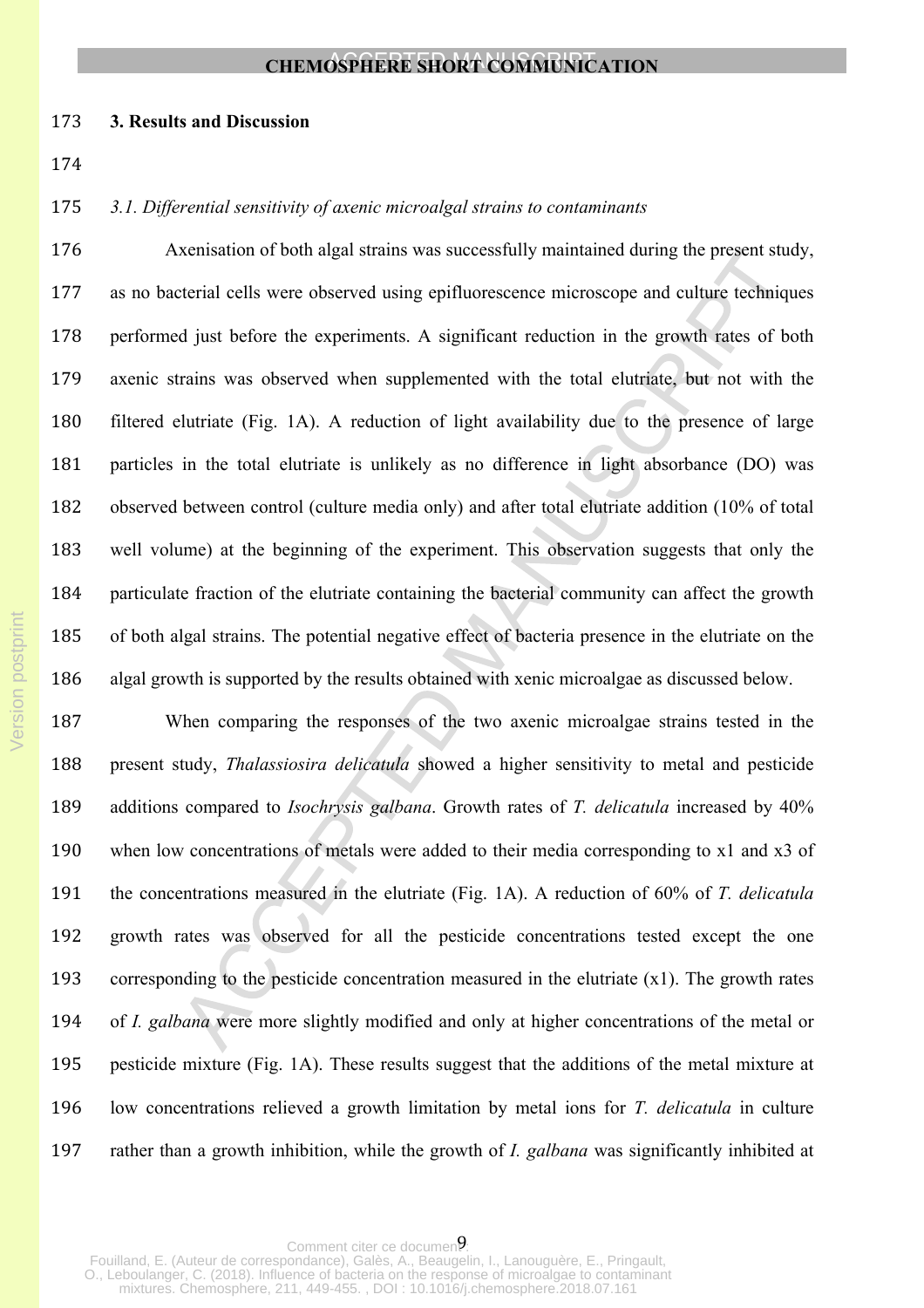#### **3. Results and Discussion**

*3.1. Differential sensitivity of axenic microalgal strains to contaminants*

 Axenisation of both algal strains was successfully maintained during the present study, as no bacterial cells were observed using epifluorescence microscope and culture techniques performed just before the experiments. A significant reduction in the growth rates of both axenic strains was observed when supplemented with the total elutriate, but not with the filtered elutriate (Fig. 1A). A reduction of light availability due to the presence of large particles in the total elutriate is unlikely as no difference in light absorbance (DO) was observed between control (culture media only) and after total elutriate addition (10% of total well volume) at the beginning of the experiment. This observation suggests that only the particulate fraction of the elutriate containing the bacterial community can affect the growth of both algal strains. The potential negative effect of bacteria presence in the elutriate on the algal growth is supported by the results obtained with xenic microalgae as discussed below.

 When comparing the responses of the two axenic microalgae strains tested in the present study, *Thalassiosira delicatula* showed a higher sensitivity to metal and pesticide additions compared to *Isochrysis galbana*. Growth rates of *T. delicatula* increased by 40% when low concentrations of metals were added to their media corresponding to x1 and x3 of the concentrations measured in the elutriate (Fig. 1A). A reduction of 60% of *T. delicatula* growth rates was observed for all the pesticide concentrations tested except the one corresponding to the pesticide concentration measured in the elutriate (x1). The growth rates of *I. galbana* were more slightly modified and only at higher concentrations of the metal or pesticide mixture (Fig. 1A). These results suggest that the additions of the metal mixture at low concentrations relieved a growth limitation by metal ions for *T. delicatula* in culture rather than a growth inhibition, while the growth of *I. galbana* was significantly inhibited at

Comment citer ce documen? Fouilland, E. (Auteur de correspondance), Galès, A., Beaugelin, I., Lanouguère, E., Pringault, O., Leboulanger, C. (2018). Influence of bacteria on the response of microalgae to contaminant mixtures. Chemosphere, 211, 449-455. , DOI : 10.1016/j.chemosphere.2018.07.161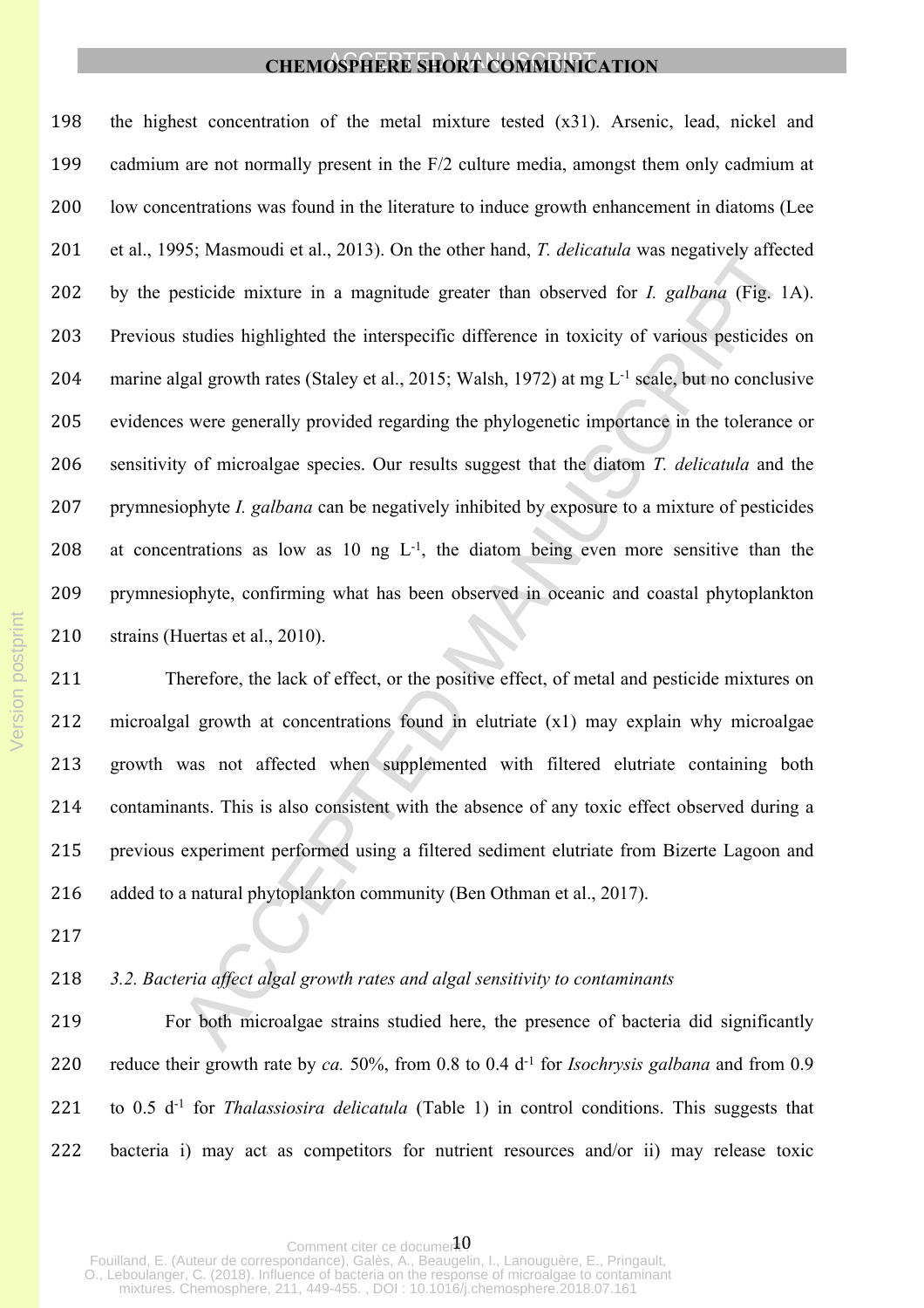the highest concentration of the metal mixture tested (x31). Arsenic, lead, nickel and cadmium are not normally present in the F/2 culture media, amongst them only cadmium at low concentrations was found in the literature to induce growth enhancement in diatoms (Lee et al., 1995; Masmoudi et al., 2013). On the other hand, *T. delicatula* was negatively affected by the pesticide mixture in a magnitude greater than observed for *I. galbana* (Fig. 1A). Previous studies highlighted the interspecific difference in toxicity of various pesticides on marine algal growth rates (Staley et al., 2015; Walsh, 1972) at mg L-1 scale, but no conclusive evidences were generally provided regarding the phylogenetic importance in the tolerance or sensitivity of microalgae species. Our results suggest that the diatom *T. delicatula* and the prymnesiophyte *I. galbana* can be negatively inhibited by exposure to a mixture of pesticides 208 at concentrations as low as 10 ng  $L^{-1}$ , the diatom being even more sensitive than the prymnesiophyte, confirming what has been observed in oceanic and coastal phytoplankton 210 strains (Huertas et al., 2010).

 Therefore, the lack of effect, or the positive effect, of metal and pesticide mixtures on microalgal growth at concentrations found in elutriate (x1) may explain why microalgae growth was not affected when supplemented with filtered elutriate containing both contaminants. This is also consistent with the absence of any toxic effect observed during a previous experiment performed using a filtered sediment elutriate from Bizerte Lagoon and 216 added to a natural phytoplankton community (Ben Othman et al., 2017).

# *3.2. Bacteria affect algal growth rates and algal sensitivity to contaminants*

 For both microalgae strains studied here, the presence of bacteria did significantly reduce their growth rate by *ca.* 50%, from 0.8 to 0.4 d-1 for *Isochrysis galbana* and from 0.9 to 0.5 d-1 for *Thalassiosira delicatula* (Table 1) in control conditions. This suggests that bacteria i) may act as competitors for nutrient resources and/or ii) may release toxic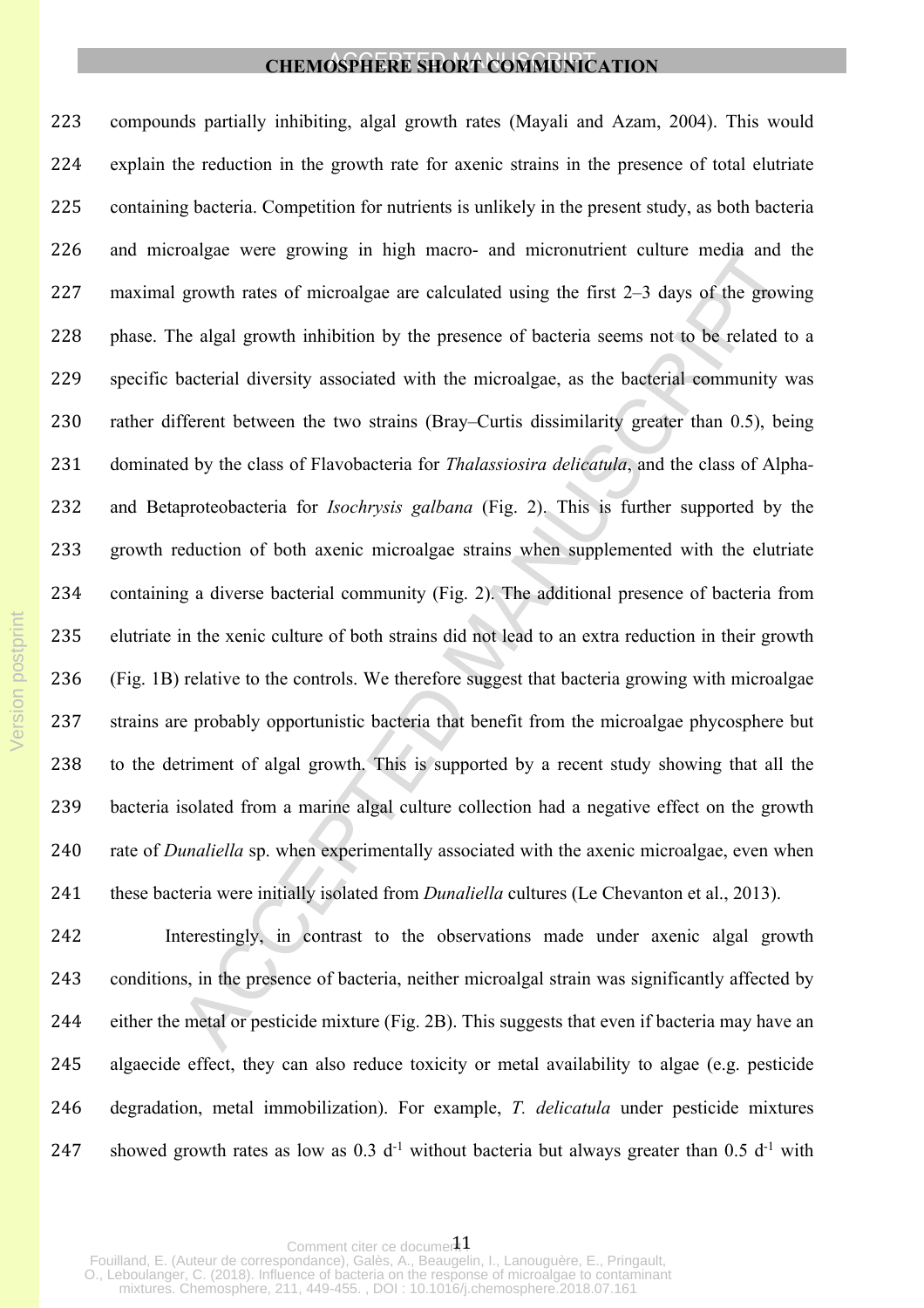compounds partially inhibiting, algal growth rates (Mayali and Azam, 2004). This would explain the reduction in the growth rate for axenic strains in the presence of total elutriate containing bacteria. Competition for nutrients is unlikely in the present study, as both bacteria and microalgae were growing in high macro- and micronutrient culture media and the maximal growth rates of microalgae are calculated using the first 2–3 days of the growing 228 phase. The algal growth inhibition by the presence of bacteria seems not to be related to a specific bacterial diversity associated with the microalgae, as the bacterial community was rather different between the two strains (Bray–Curtis dissimilarity greater than 0.5), being dominated by the class of Flavobacteria for *Thalassiosira delicatula*, and the class of Alpha*-* and Betaproteobacteria for *Isochrysis galbana* (Fig. 2). This is further supported by the growth reduction of both axenic microalgae strains when supplemented with the elutriate containing a diverse bacterial community (Fig. 2). The additional presence of bacteria from elutriate in the xenic culture of both strains did not lead to an extra reduction in their growth (Fig. 1B) relative to the controls. We therefore suggest that bacteria growing with microalgae strains are probably opportunistic bacteria that benefit from the microalgae phycosphere but to the detriment of algal growth. This is supported by a recent study showing that all the bacteria isolated from a marine algal culture collection had a negative effect on the growth rate of *Dunaliella* sp. when experimentally associated with the axenic microalgae, even when these bacteria were initially isolated from *Dunaliella* cultures (Le Chevanton et al., 2013).

 Interestingly, in contrast to the observations made under axenic algal growth conditions, in the presence of bacteria, neither microalgal strain was significantly affected by either the metal or pesticide mixture (Fig. 2B). This suggests that even if bacteria may have an algaecide effect, they can also reduce toxicity or metal availability to algae (e.g. pesticide degradation, metal immobilization). For example, *T. delicatula* under pesticide mixtures 247 showed growth rates as low as  $0.3$  d<sup>-1</sup> without bacteria but always greater than  $0.5$  d<sup>-1</sup> with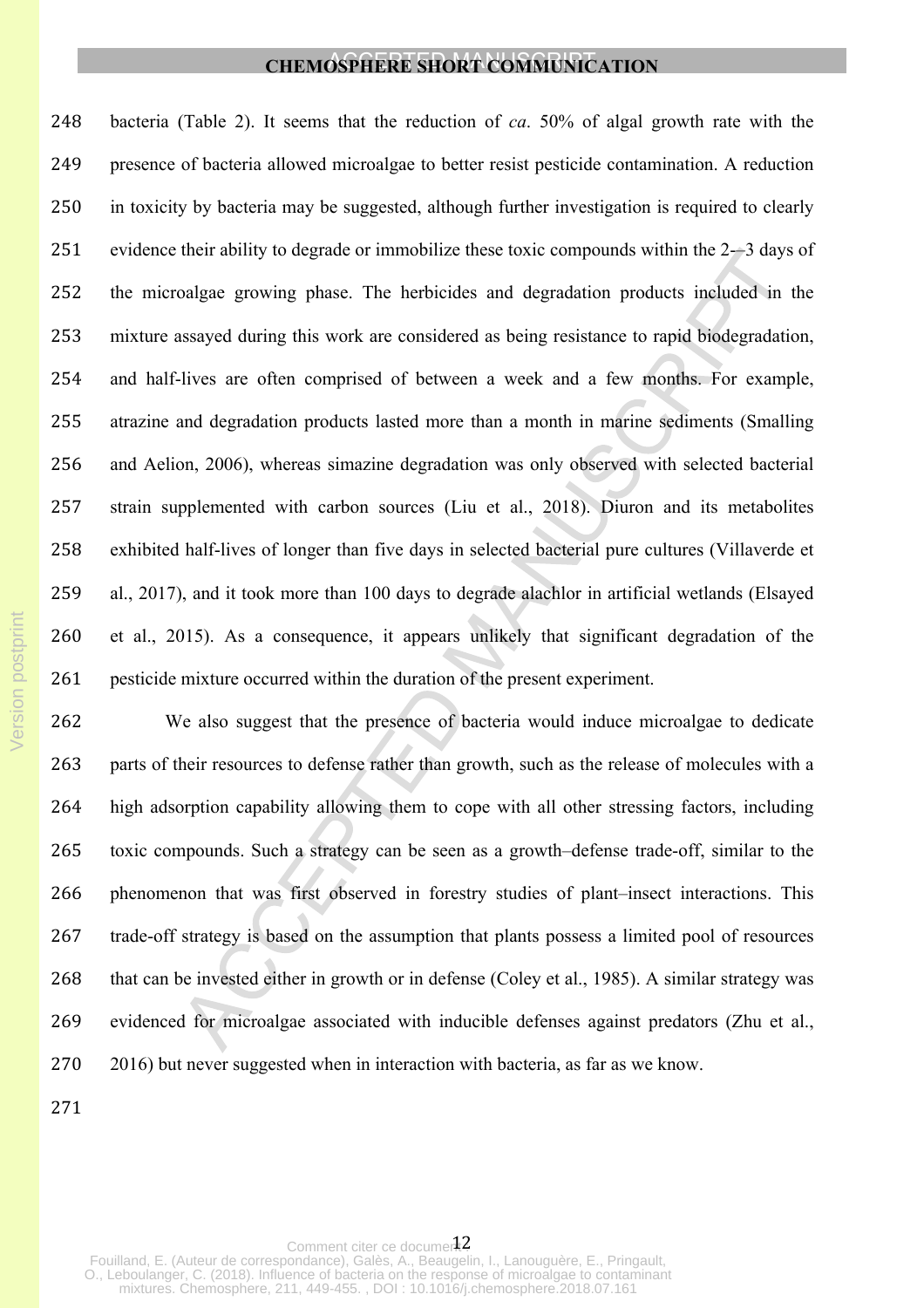bacteria (Table 2). It seems that the reduction of *ca*. 50% of algal growth rate with the presence of bacteria allowed microalgae to better resist pesticide contamination. A reduction in toxicity by bacteria may be suggested, although further investigation is required to clearly evidence their ability to degrade or immobilize these toxic compounds within the 2-–3 days of the microalgae growing phase. The herbicides and degradation products included in the mixture assayed during this work are considered as being resistance to rapid biodegradation, and half-lives are often comprised of between a week and a few months. For example, atrazine and degradation products lasted more than a month in marine sediments (Smalling and Aelion, 2006), whereas simazine degradation was only observed with selected bacterial strain supplemented with carbon sources (Liu et al., 2018). Diuron and its metabolites exhibited half-lives of longer than five days in selected bacterial pure cultures (Villaverde et al., 2017), and it took more than 100 days to degrade alachlor in artificial wetlands (Elsayed et al., 2015). As a consequence, it appears unlikely that significant degradation of the pesticide mixture occurred within the duration of the present experiment.

 We also suggest that the presence of bacteria would induce microalgae to dedicate parts of their resources to defense rather than growth, such as the release of molecules with a high adsorption capability allowing them to cope with all other stressing factors, including toxic compounds. Such a strategy can be seen as a growth–defense trade-off, similar to the phenomenon that was first observed in forestry studies of plant–insect interactions. This trade-off strategy is based on the assumption that plants possess a limited pool of resources that can be invested either in growth or in defense (Coley et al., 1985). A similar strategy was evidenced for microalgae associated with inducible defenses against predators (Zhu et al., 2016) but never suggested when in interaction with bacteria, as far as we know.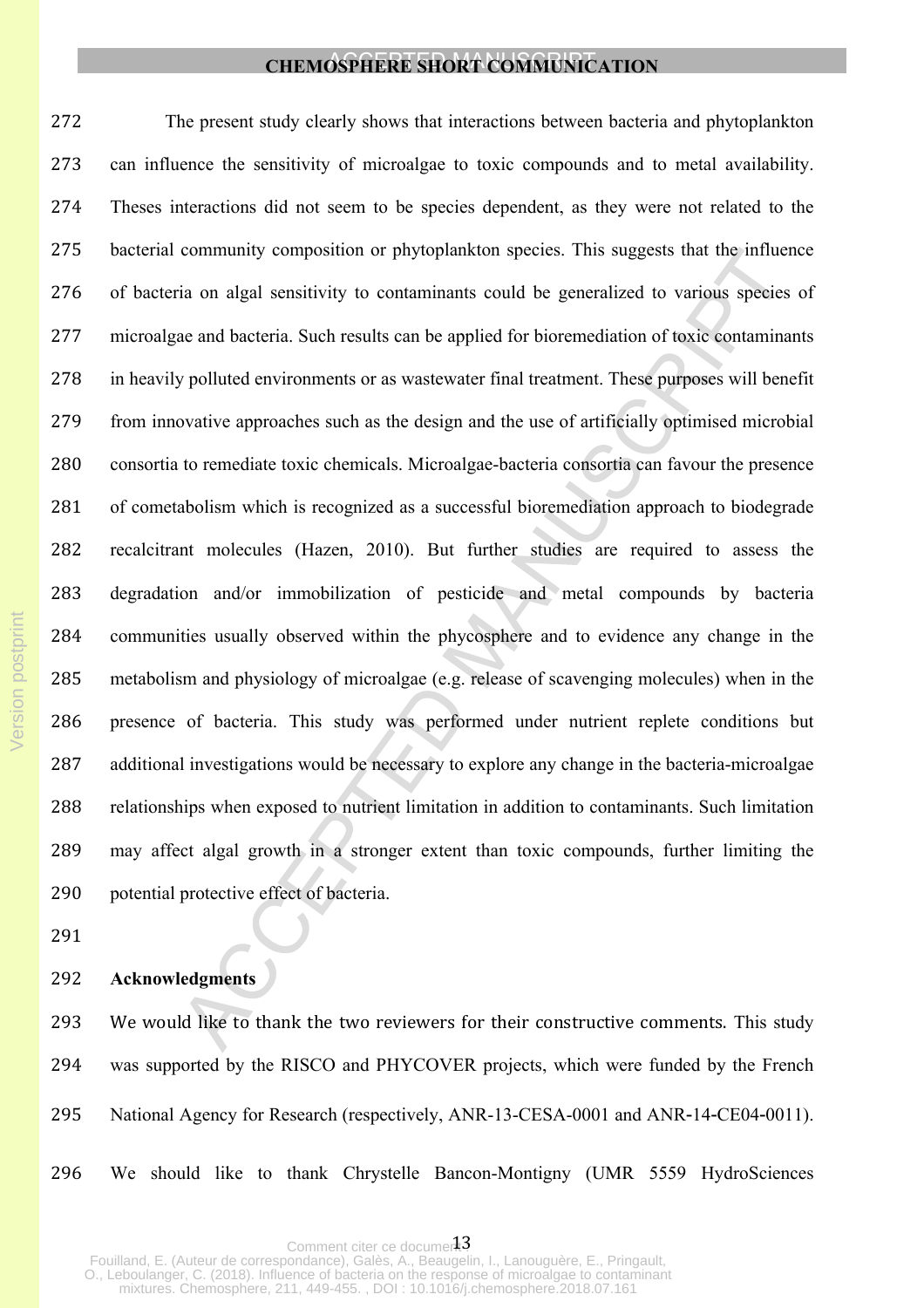The present study clearly shows that interactions between bacteria and phytoplankton can influence the sensitivity of microalgae to toxic compounds and to metal availability. Theses interactions did not seem to be species dependent, as they were not related to the bacterial community composition or phytoplankton species. This suggests that the influence of bacteria on algal sensitivity to contaminants could be generalized to various species of microalgae and bacteria. Such results can be applied for bioremediation of toxic contaminants in heavily polluted environments or as wastewater final treatment. These purposes will benefit from innovative approaches such as the design and the use of artificially optimised microbial consortia to remediate toxic chemicals. Microalgae-bacteria consortia can favour the presence of cometabolism which is recognized as a successful bioremediation approach to biodegrade recalcitrant molecules (Hazen, 2010). But further studies are required to assess the degradation and/or immobilization of pesticide and metal compounds by bacteria communities usually observed within the phycosphere and to evidence any change in the metabolism and physiology of microalgae (e.g. release of scavenging molecules) when in the presence of bacteria. This study was performed under nutrient replete conditions but additional investigations would be necessary to explore any change in the bacteria-microalgae relationships when exposed to nutrient limitation in addition to contaminants. Such limitation may affect algal growth in a stronger extent than toxic compounds, further limiting the potential protective effect of bacteria.

## **Acknowledgments**

293 We would like to thank the two reviewers for their constructive comments. This study was supported by the RISCO and PHYCOVER projects, which were funded by the French National Agency for Research (respectively, ANR-13-CESA-0001 and ANR‐14‐CE04‐0011).

We should like to thank Chrystelle Bancon-Montigny (UMR 5559 HydroSciences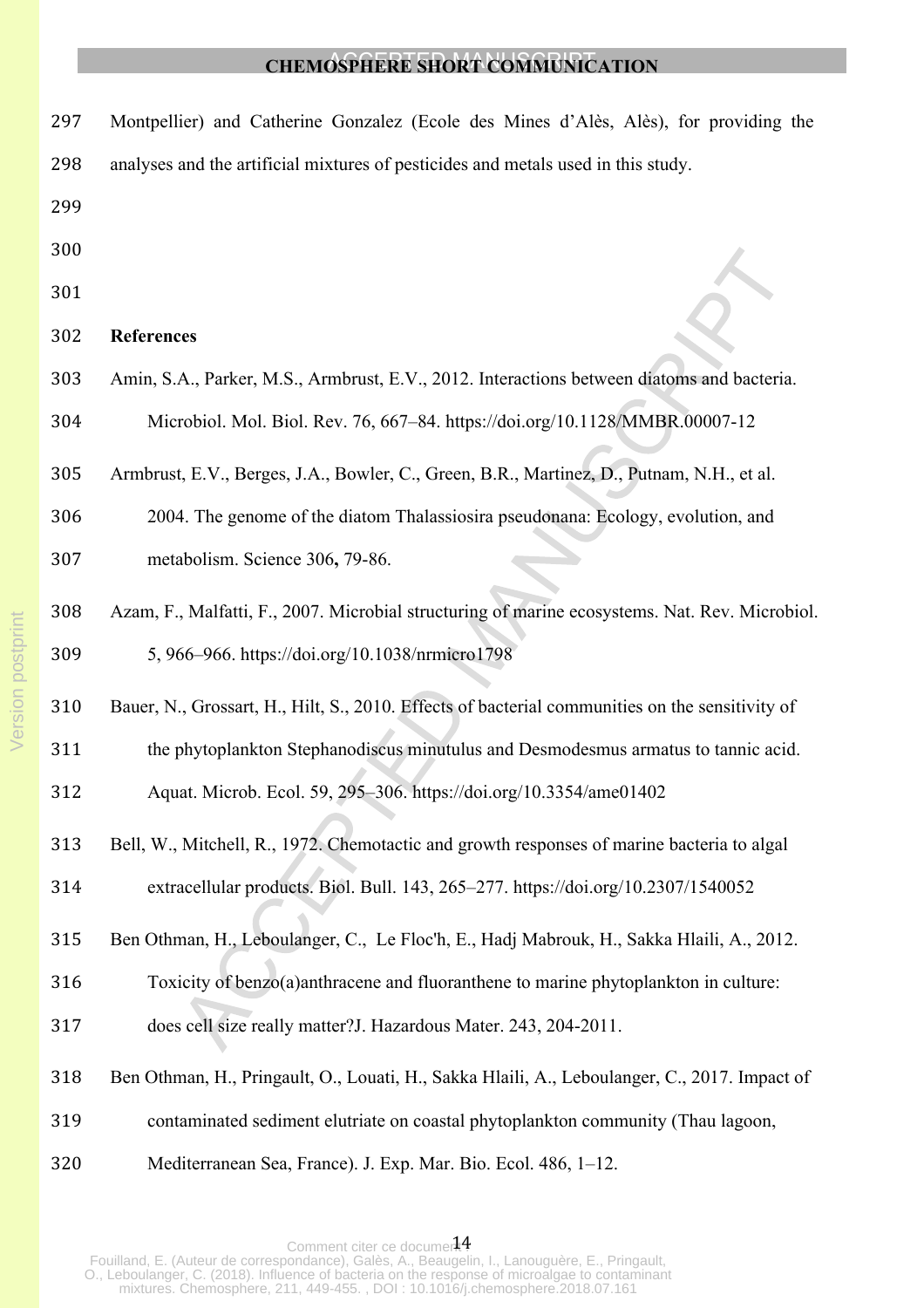- Montpellier) and Catherine Gonzalez (Ecole des Mines d'Alès, Alès), for providing the analyses and the artificial mixtures of pesticides and metals used in this study.
- 
- 
- 
- **References**
- Amin, S.A., Parker, M.S., Armbrust, E.V., 2012. Interactions between diatoms and bacteria. Microbiol. Mol. Biol. Rev. 76, 667–84. https://doi.org/10.1128/MMBR.00007-12
- Armbrust, E.V., Berges, J.A., Bowler, C., Green, B.R., Martinez, D., Putnam, N.H., et al.
- 2004. The genome of the diatom Thalassiosira pseudonana: Ecology, evolution, and metabolism. Science 306**,** 79-86.
- Azam, F., Malfatti, F., 2007. Microbial structuring of marine ecosystems. Nat. Rev. Microbiol. 5, 966–966. https://doi.org/10.1038/nrmicro1798
- Bauer, N., Grossart, H., Hilt, S., 2010. Effects of bacterial communities on the sensitivity of
- the phytoplankton Stephanodiscus minutulus and Desmodesmus armatus to tannic acid.
- Aquat. Microb. Ecol. 59, 295–306. https://doi.org/10.3354/ame01402
- Bell, W., Mitchell, R., 1972. Chemotactic and growth responses of marine bacteria to algal extracellular products. Biol. Bull. 143, 265–277. https://doi.org/10.2307/1540052
- Ben Othman, H., Leboulanger, C., Le Floc'h, E., Hadj Mabrouk, H., Sakka Hlaili, A., 2012.
- Toxicity of benzo(a)anthracene and fluoranthene to marine phytoplankton in culture:
- does cell size really matter?J. Hazardous Mater. 243, 204-2011.
- Ben Othman, H., Pringault, O., Louati, H., Sakka Hlaili, A., Leboulanger, C., 2017. Impact of
- contaminated sediment elutriate on coastal phytoplankton community (Thau lagoon,
- Mediterranean Sea, France). J. Exp. Mar. Bio. Ecol. 486, 1–12.

Comment citer ce documerFouilland, E. (Auteur de correspondance), Galès, A., Beaugelin, I., Lanouguère, E., Pringault, O., Leboulanger, C. (2018). Influence of bacteria on the response of microalgae to contaminant mixtures. Chemosphere, 211, 449-455. , DOI : 10.1016/j.chemosphere.2018.07.161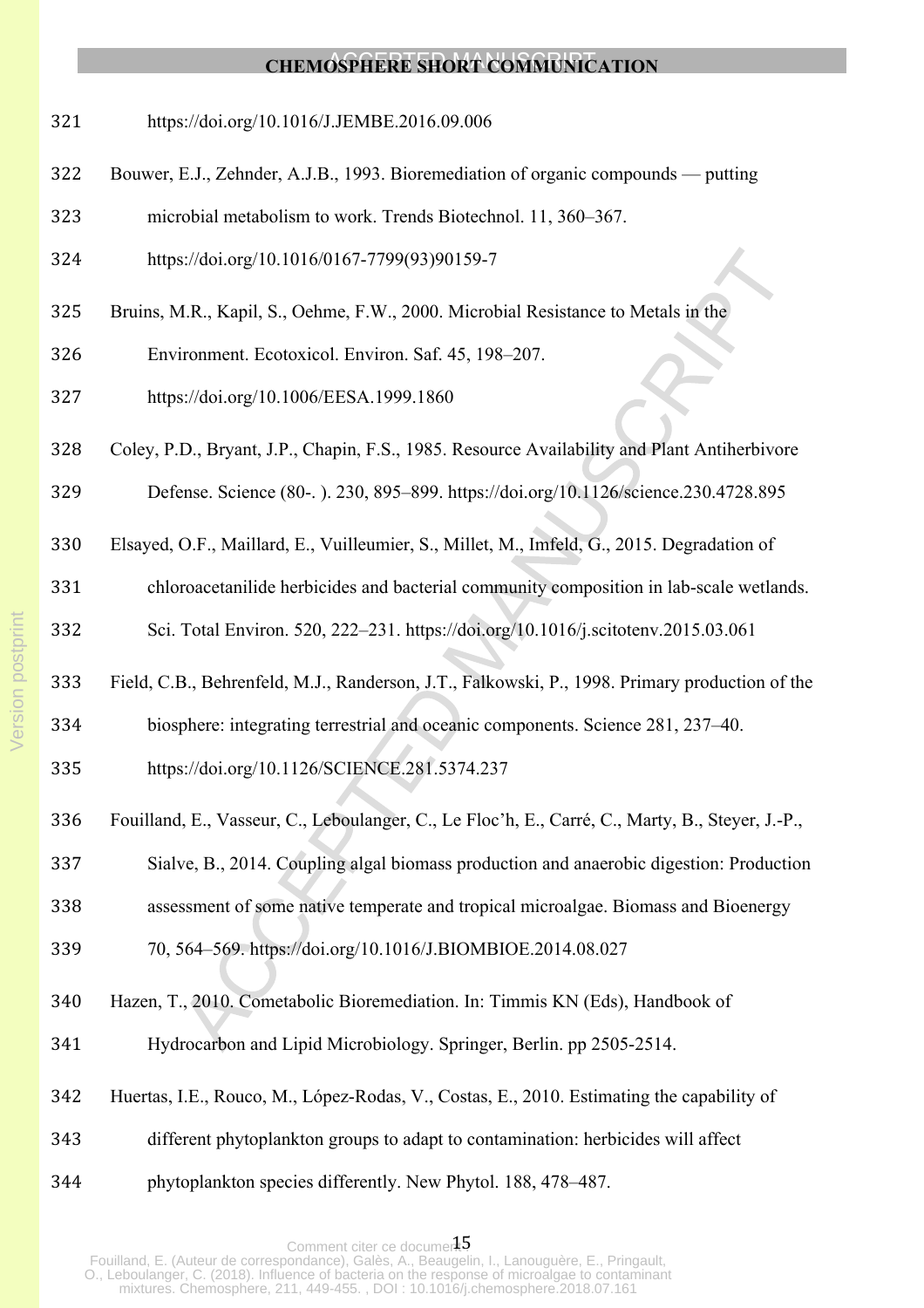- https://doi.org/10.1016/J.JEMBE.2016.09.006
- Bouwer, E.J., Zehnder, A.J.B., 1993. Bioremediation of organic compounds putting
- microbial metabolism to work. Trends Biotechnol. 11, 360–367.
- https://doi.org/10.1016/0167-7799(93)90159-7
- Bruins, M.R., Kapil, S., Oehme, F.W., 2000. Microbial Resistance to Metals in the
- Environment. Ecotoxicol. Environ. Saf. 45, 198–207.
- https://doi.org/10.1006/EESA.1999.1860
- Coley, P.D., Bryant, J.P., Chapin, F.S., 1985. Resource Availability and Plant Antiherbivore
- Defense. Science (80-. ). 230, 895–899. https://doi.org/10.1126/science.230.4728.895
- Elsayed, O.F., Maillard, E., Vuilleumier, S., Millet, M., Imfeld, G., 2015. Degradation of

chloroacetanilide herbicides and bacterial community composition in lab-scale wetlands.

Sci. Total Environ. 520, 222–231. https://doi.org/10.1016/j.scitotenv.2015.03.061

- Field, C.B., Behrenfeld, M.J., Randerson, J.T., Falkowski, P., 1998. Primary production of the
- biosphere: integrating terrestrial and oceanic components. Science 281, 237–40.
- https://doi.org/10.1126/SCIENCE.281.5374.237
- Fouilland, E., Vasseur, C., Leboulanger, C., Le Floc'h, E., Carré, C., Marty, B., Steyer, J.-P.,
- Sialve, B., 2014. Coupling algal biomass production and anaerobic digestion: Production
- assessment of some native temperate and tropical microalgae. Biomass and Bioenergy

70, 564–569. https://doi.org/10.1016/J.BIOMBIOE.2014.08.027

- Hazen, T., 2010. Cometabolic Bioremediation. In: Timmis KN (Eds), Handbook of
- Hydrocarbon and Lipid Microbiology. Springer, Berlin. pp 2505-2514.
- Huertas, I.E., Rouco, M., López-Rodas, V., Costas, E., 2010. Estimating the capability of
- different phytoplankton groups to adapt to contamination: herbicides will affect
- phytoplankton species differently. New Phytol. 188, 478–487.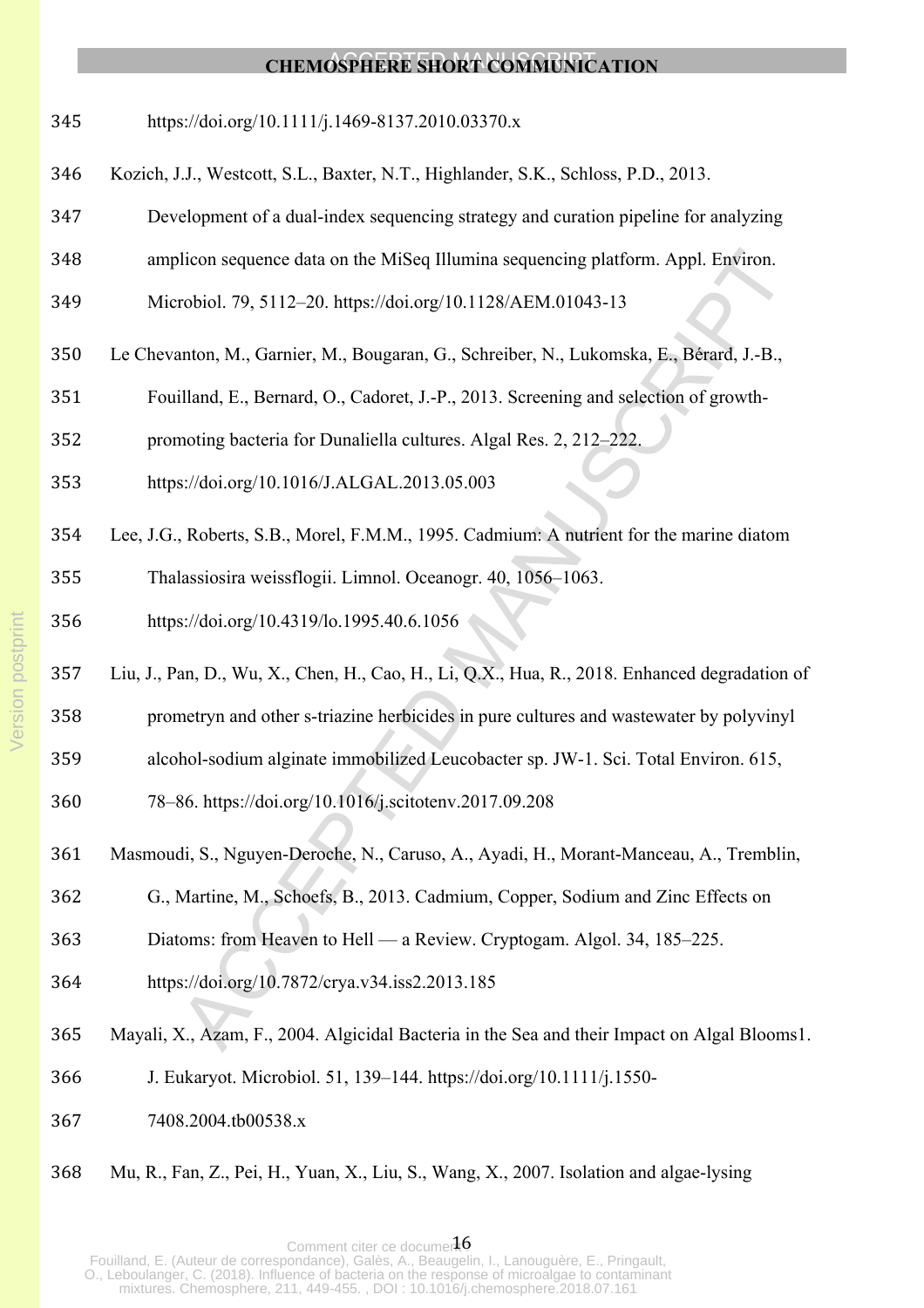- https://doi.org/10.1111/j.1469-8137.2010.03370.x
- Kozich, J.J., Westcott, S.L., Baxter, N.T., Highlander, S.K., Schloss, P.D., 2013.
- Development of a dual-index sequencing strategy and curation pipeline for analyzing
- amplicon sequence data on the MiSeq Illumina sequencing platform. Appl. Environ.
- Microbiol. 79, 5112–20. https://doi.org/10.1128/AEM.01043-13
- Le Chevanton, M., Garnier, M., Bougaran, G., Schreiber, N., Lukomska, E., Bérard, J.-B.,
- Fouilland, E., Bernard, O., Cadoret, J.-P., 2013. Screening and selection of growth-
- promoting bacteria for Dunaliella cultures. Algal Res. 2, 212–222.
- https://doi.org/10.1016/J.ALGAL.2013.05.003
- Lee, J.G., Roberts, S.B., Morel, F.M.M., 1995. Cadmium: A nutrient for the marine diatom Thalassiosira weissflogii. Limnol. Oceanogr. 40, 1056–1063.
- https://doi.org/10.4319/lo.1995.40.6.1056
- Liu, J., Pan, D., Wu, X., Chen, H., Cao, H., Li, Q.X., Hua, R., 2018. Enhanced degradation of
- prometryn and other s-triazine herbicides in pure cultures and wastewater by polyvinyl
- alcohol-sodium alginate immobilized Leucobacter sp. JW-1. Sci. Total Environ. 615,
- 78–86. https://doi.org/10.1016/j.scitotenv.2017.09.208
- Masmoudi, S., Nguyen-Deroche, N., Caruso, A., Ayadi, H., Morant-Manceau, A., Tremblin,
- G., Martine, M., Schoefs, B., 2013. Cadmium, Copper, Sodium and Zinc Effects on
- Diatoms: from Heaven to Hell a Review. Cryptogam. Algol. 34, 185–225.
- https://doi.org/10.7872/crya.v34.iss2.2013.185
- Mayali, X., Azam, F., 2004. Algicidal Bacteria in the Sea and their Impact on Algal Blooms1.
- J. Eukaryot. Microbiol. 51, 139–144. https://doi.org/10.1111/j.1550-
- 7408.2004.tb00538.x
- Mu, R., Fan, Z., Pei, H., Yuan, X., Liu, S., Wang, X., 2007. Isolation and algae-lysing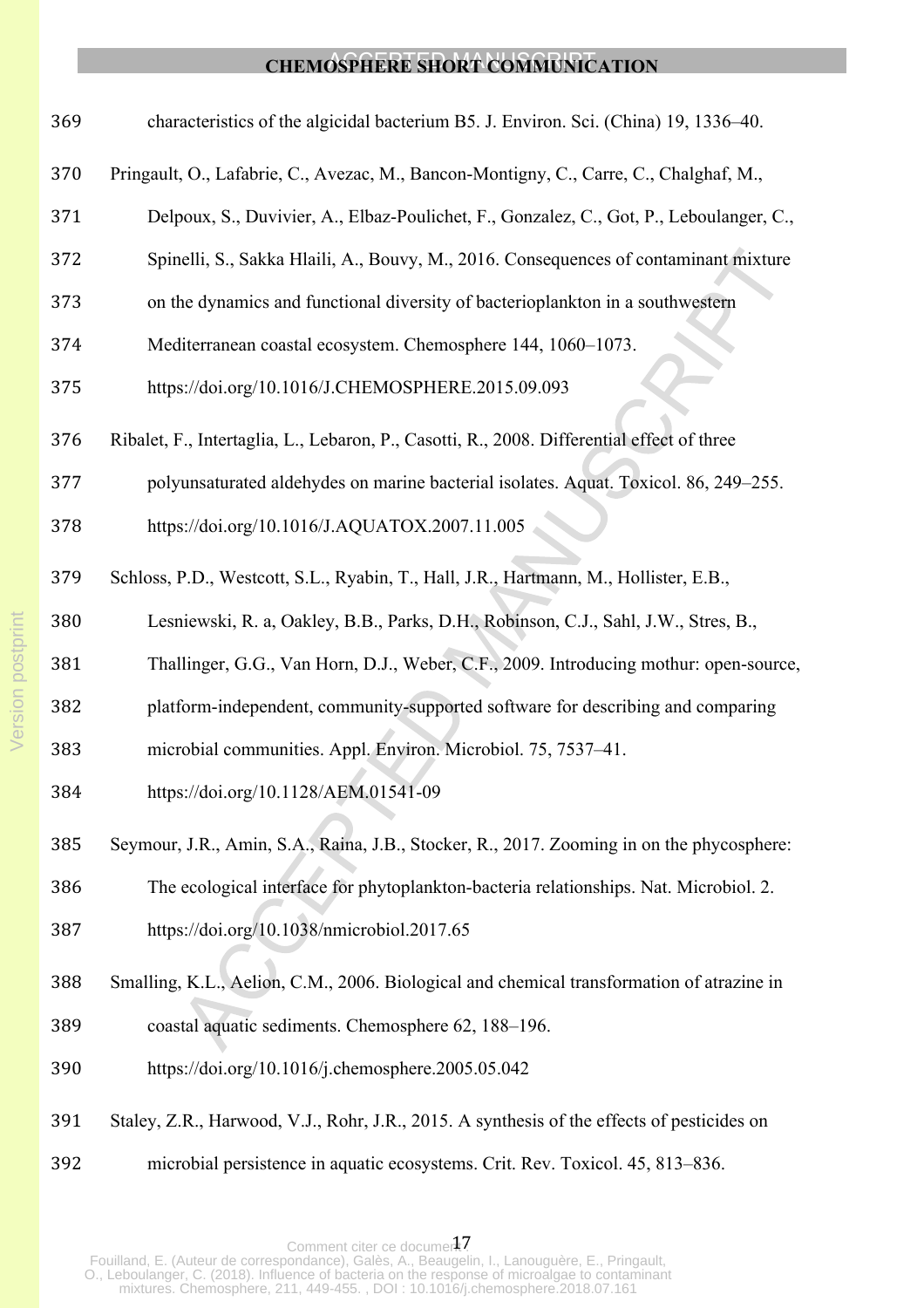- characteristics of the algicidal bacterium B5. J. Environ. Sci. (China) 19, 1336–40.
- Pringault, O., Lafabrie, C., Avezac, M., Bancon-Montigny, C., Carre, C., Chalghaf, M.,
- Delpoux, S., Duvivier, A., Elbaz-Poulichet, F., Gonzalez, C., Got, P., Leboulanger, C.,
- Spinelli, S., Sakka Hlaili, A., Bouvy, M., 2016. Consequences of contaminant mixture
- on the dynamics and functional diversity of bacterioplankton in a southwestern
- Mediterranean coastal ecosystem. Chemosphere 144, 1060–1073.
- https://doi.org/10.1016/J.CHEMOSPHERE.2015.09.093
- Ribalet, F., Intertaglia, L., Lebaron, P., Casotti, R., 2008. Differential effect of three
- polyunsaturated aldehydes on marine bacterial isolates. Aquat. Toxicol. 86, 249–255.
- https://doi.org/10.1016/J.AQUATOX.2007.11.005
- Schloss, P.D., Westcott, S.L., Ryabin, T., Hall, J.R., Hartmann, M., Hollister, E.B.,
- Lesniewski, R. a, Oakley, B.B., Parks, D.H., Robinson, C.J., Sahl, J.W., Stres, B.,
- Thallinger, G.G., Van Horn, D.J., Weber, C.F., 2009. Introducing mothur: open-source,
- platform-independent, community-supported software for describing and comparing
- microbial communities. Appl. Environ. Microbiol. 75, 7537–41.
- https://doi.org/10.1128/AEM.01541-09
- Seymour, J.R., Amin, S.A., Raina, J.B., Stocker, R., 2017. Zooming in on the phycosphere:
- The ecological interface for phytoplankton-bacteria relationships. Nat. Microbiol. 2.
- https://doi.org/10.1038/nmicrobiol.2017.65
- Smalling, K.L., Aelion, C.M., 2006. Biological and chemical transformation of atrazine in
- coastal aquatic sediments. Chemosphere 62, 188–196.
- https://doi.org/10.1016/j.chemosphere.2005.05.042
- Staley, Z.R., Harwood, V.J., Rohr, J.R., 2015. A synthesis of the effects of pesticides on
- microbial persistence in aquatic ecosystems. Crit. Rev. Toxicol. 45, 813–836.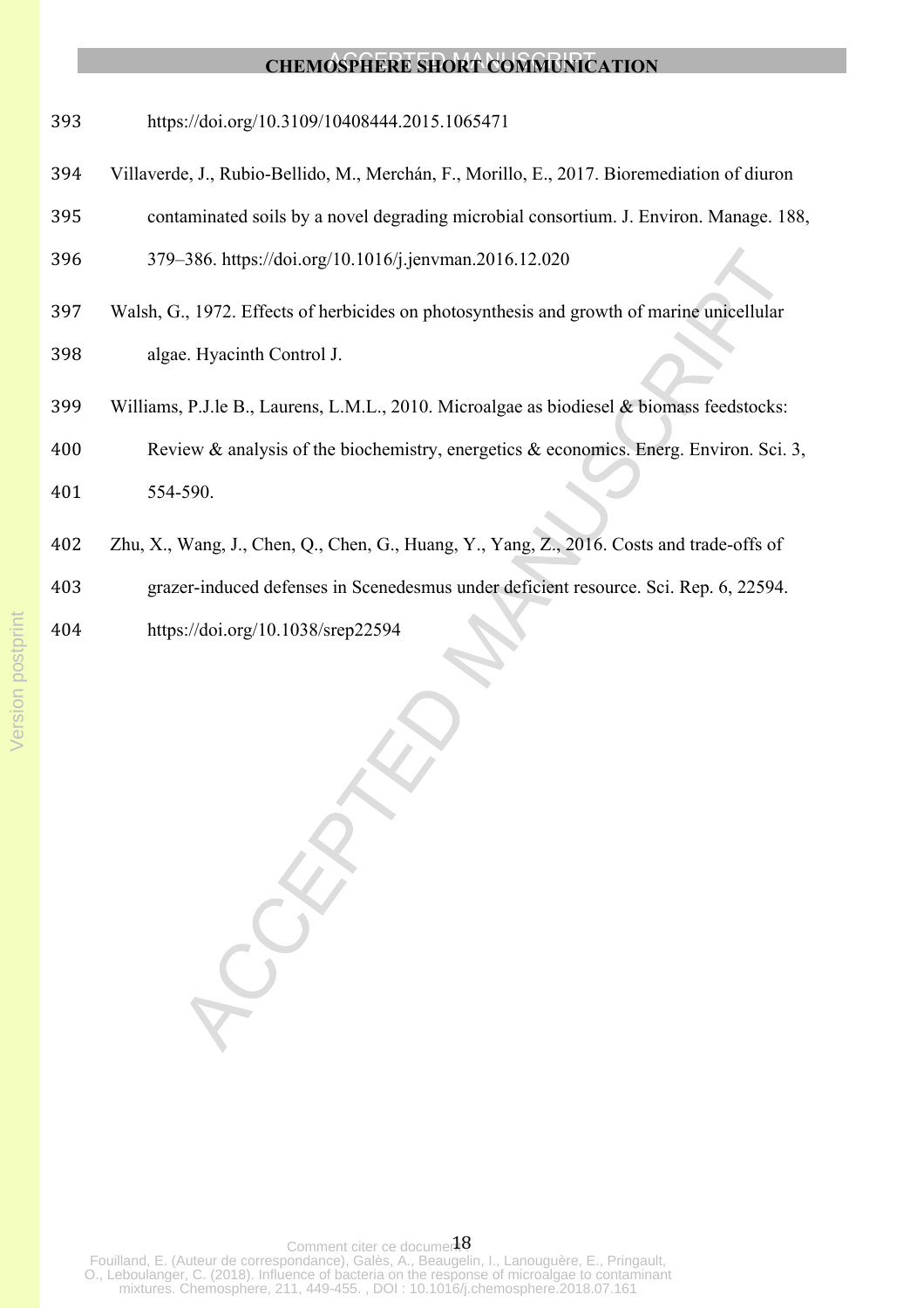https://doi.org/10.3109/10408444.2015.1065471

- Villaverde, J., Rubio-Bellido, M., Merchán, F., Morillo, E., 2017. Bioremediation of diuron
- contaminated soils by a novel degrading microbial consortium. J. Environ. Manage. 188,
- 379–386. https://doi.org/10.1016/j.jenvman.2016.12.020
- Walsh, G., 1972. Effects of herbicides on photosynthesis and growth of marine unicellular algae. Hyacinth Control J.
- Williams, P.J.le B., Laurens, L.M.L., 2010. Microalgae as biodiesel & biomass feedstocks:

 Review & analysis of the biochemistry, energetics & economics. Energ. Environ. Sci. 3, 554-590.

Zhu, X., Wang, J., Chen, Q., Chen, G., Huang, Y., Yang, Z., 2016. Costs and trade-offs of

grazer-induced defenses in Scenedesmus under deficient resource. Sci. Rep. 6, 22594.

https://doi.org/10.1038/srep22594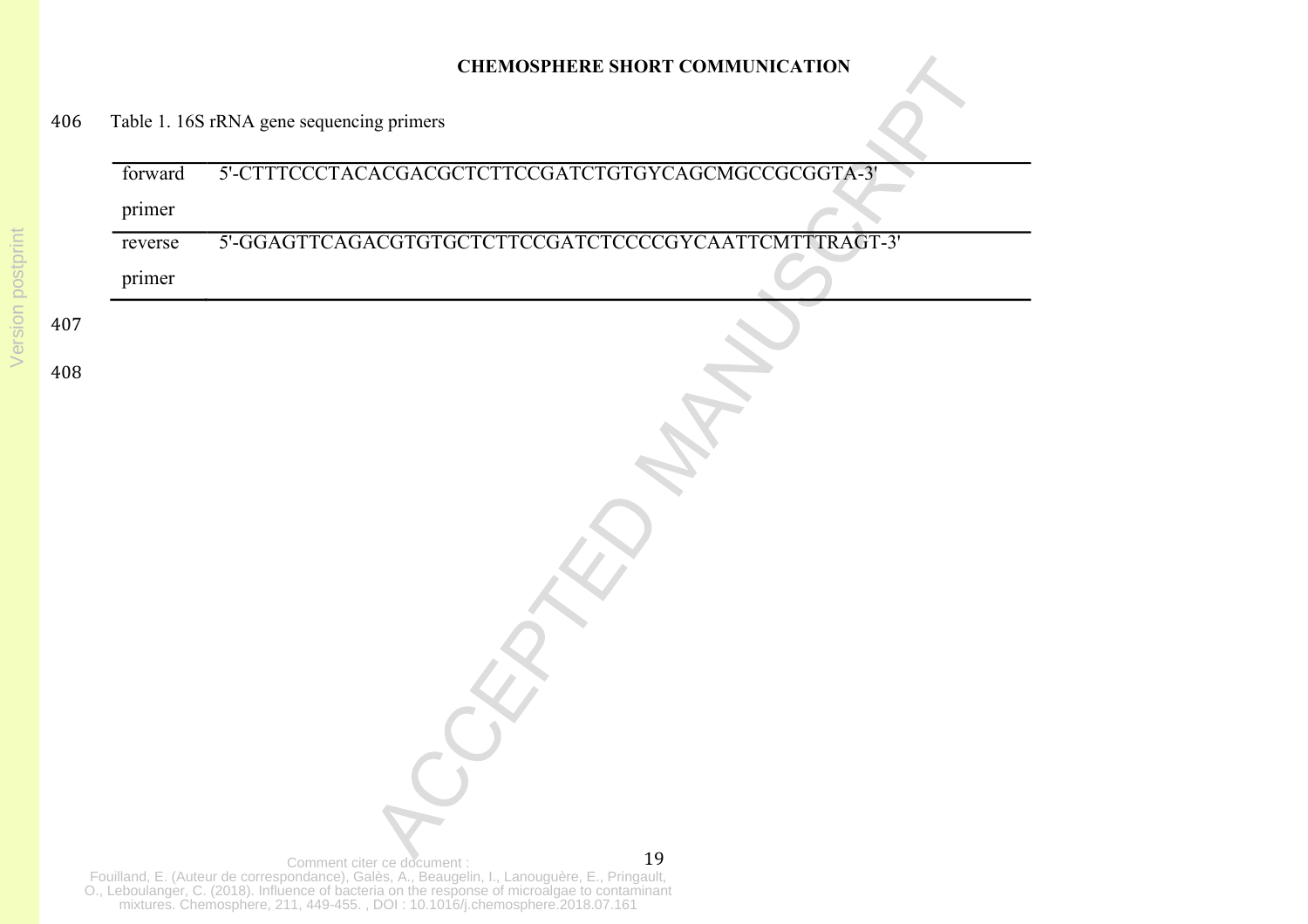| forward | 5'-CTTTCCCTACACGACGCTCTTCCGATCTGTGYCAGCMGCCGCGGTA-3'                                                                                                                                                                                                                |
|---------|---------------------------------------------------------------------------------------------------------------------------------------------------------------------------------------------------------------------------------------------------------------------|
| primer  |                                                                                                                                                                                                                                                                     |
| reverse | 5'-GGAGTTCAGACGTGTGCTCTTCCGATCTCCCCGYCAATTCMTTTRAGT-3'                                                                                                                                                                                                              |
| primer  |                                                                                                                                                                                                                                                                     |
|         |                                                                                                                                                                                                                                                                     |
|         |                                                                                                                                                                                                                                                                     |
|         |                                                                                                                                                                                                                                                                     |
|         |                                                                                                                                                                                                                                                                     |
|         |                                                                                                                                                                                                                                                                     |
|         |                                                                                                                                                                                                                                                                     |
|         |                                                                                                                                                                                                                                                                     |
|         |                                                                                                                                                                                                                                                                     |
|         |                                                                                                                                                                                                                                                                     |
|         |                                                                                                                                                                                                                                                                     |
|         |                                                                                                                                                                                                                                                                     |
|         |                                                                                                                                                                                                                                                                     |
|         |                                                                                                                                                                                                                                                                     |
|         |                                                                                                                                                                                                                                                                     |
|         |                                                                                                                                                                                                                                                                     |
|         |                                                                                                                                                                                                                                                                     |
|         |                                                                                                                                                                                                                                                                     |
|         |                                                                                                                                                                                                                                                                     |
|         | 19<br>Comment citer ce document :<br>Fouilland, E. (Auteur de correspondance), Galès, A., Beaugelin, I., Lanouguère, E., Pringault, O., Leboulanger, C. (2018). Influence of bacteria on the response of microalgae to contaminant mixtures. Chemosphere, 211, 449- |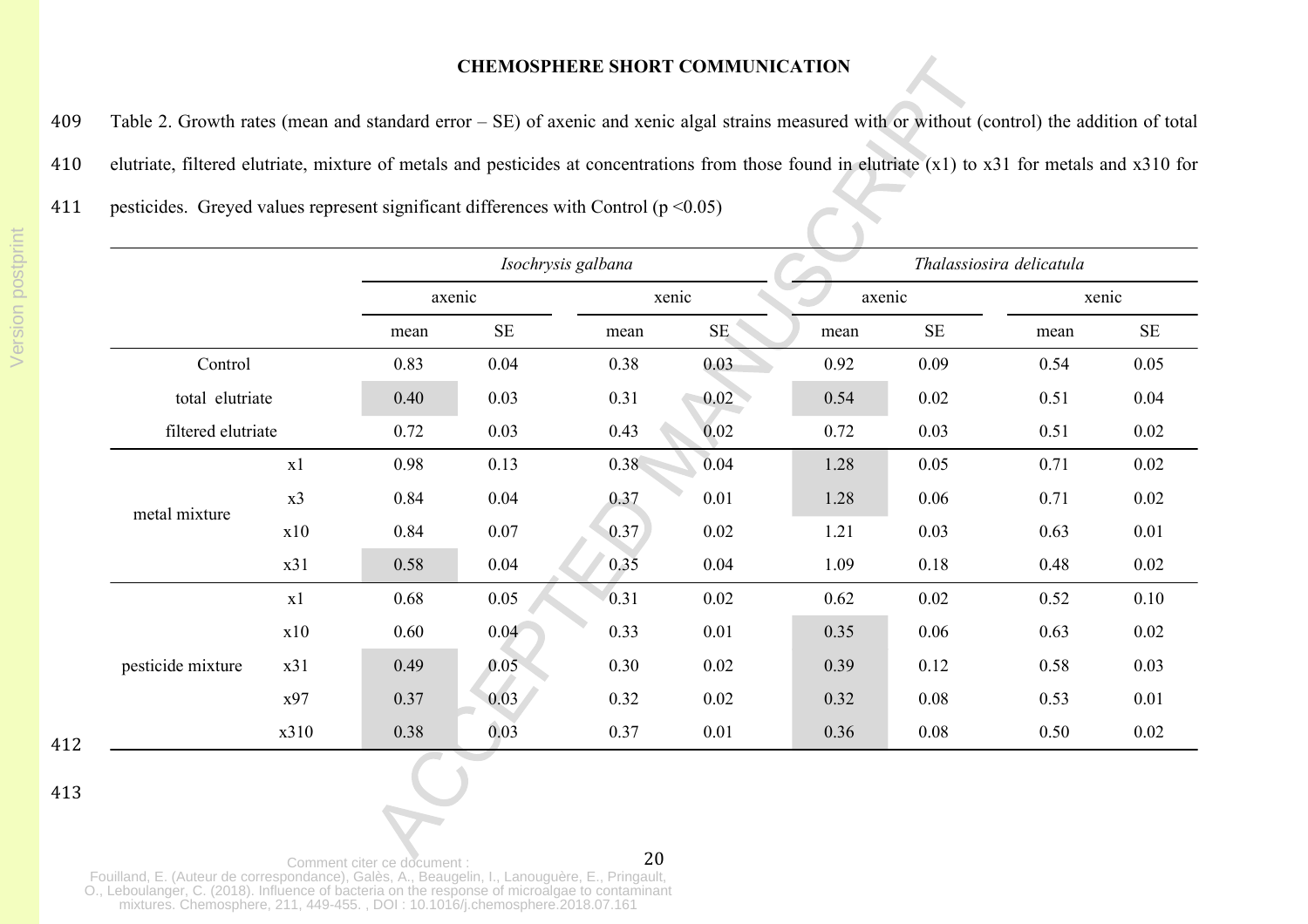409 Table 2. Growth rates (mean and standard error – SE) of axenic and xenic algal strains measured with or without (control) the addition of total

- 410 elutriate, filtered elutriate, mixture of metals and pesticides at concentrations from those found in elutriate (x1) to x31 for metals and x310 for
- 411 pesticides. Greyed values represent significant differences with Control  $(p \le 0.05)$

|                    |      | Isochrysis galbana |          |                   |          | Thalassiosira delicatula |          |       |          |
|--------------------|------|--------------------|----------|-------------------|----------|--------------------------|----------|-------|----------|
|                    |      | axenic             |          | xenic             |          | axenic                   |          | xenic |          |
|                    |      | mean               | $\rm SE$ | mean              | $\rm SE$ | mean                     | $\rm SE$ | mean  | $\rm SE$ |
| Control            |      | 0.83               | 0.04     | 0.38              | 0.03     | 0.92                     | 0.09     | 0.54  | 0.05     |
| total elutriate    |      | 0.40               | 0.03     | 0.31              | 0.02     | 0.54                     | 0.02     | 0.51  | 0.04     |
| filtered elutriate |      | 0.72               | 0.03     | 0.43              | 0.02     | 0.72                     | 0.03     | 0.51  | 0.02     |
| metal mixture      | x1   | 0.98               | 0.13     | 0.38 <sup>°</sup> | 0.04     | 1.28                     | 0.05     | 0.71  | 0.02     |
|                    | x3   | 0.84               | 0.04     | 0.37              | 0.01     | 1.28                     | 0.06     | 0.71  | 0.02     |
|                    | x10  | 0.84               | 0.07     | 0.37              | 0.02     | 1.21                     | 0.03     | 0.63  | 0.01     |
|                    | x31  | 0.58               | 0.04     | 0.35              | 0.04     | 1.09                     | 0.18     | 0.48  | 0.02     |
| pesticide mixture  | x1   | 0.68               | 0.05     | 0.31              | 0.02     | 0.62                     | 0.02     | 0.52  | 0.10     |
|                    | x10  | 0.60               | 0.04     | 0.33              | 0.01     | 0.35                     | 0.06     | 0.63  | 0.02     |
|                    | x31  | 0.49               | 0.05     | 0.30              | 0.02     | 0.39                     | 0.12     | 0.58  | 0.03     |
|                    | x97  | 0.37               | 0.03     | 0.32              | 0.02     | 0.32                     | 0.08     | 0.53  | 0.01     |
|                    | x310 | 0.38               | 0.03     | 0.37              | 0.01     | 0.36                     | 0.08     | 0.50  | 0.02     |

412

413

20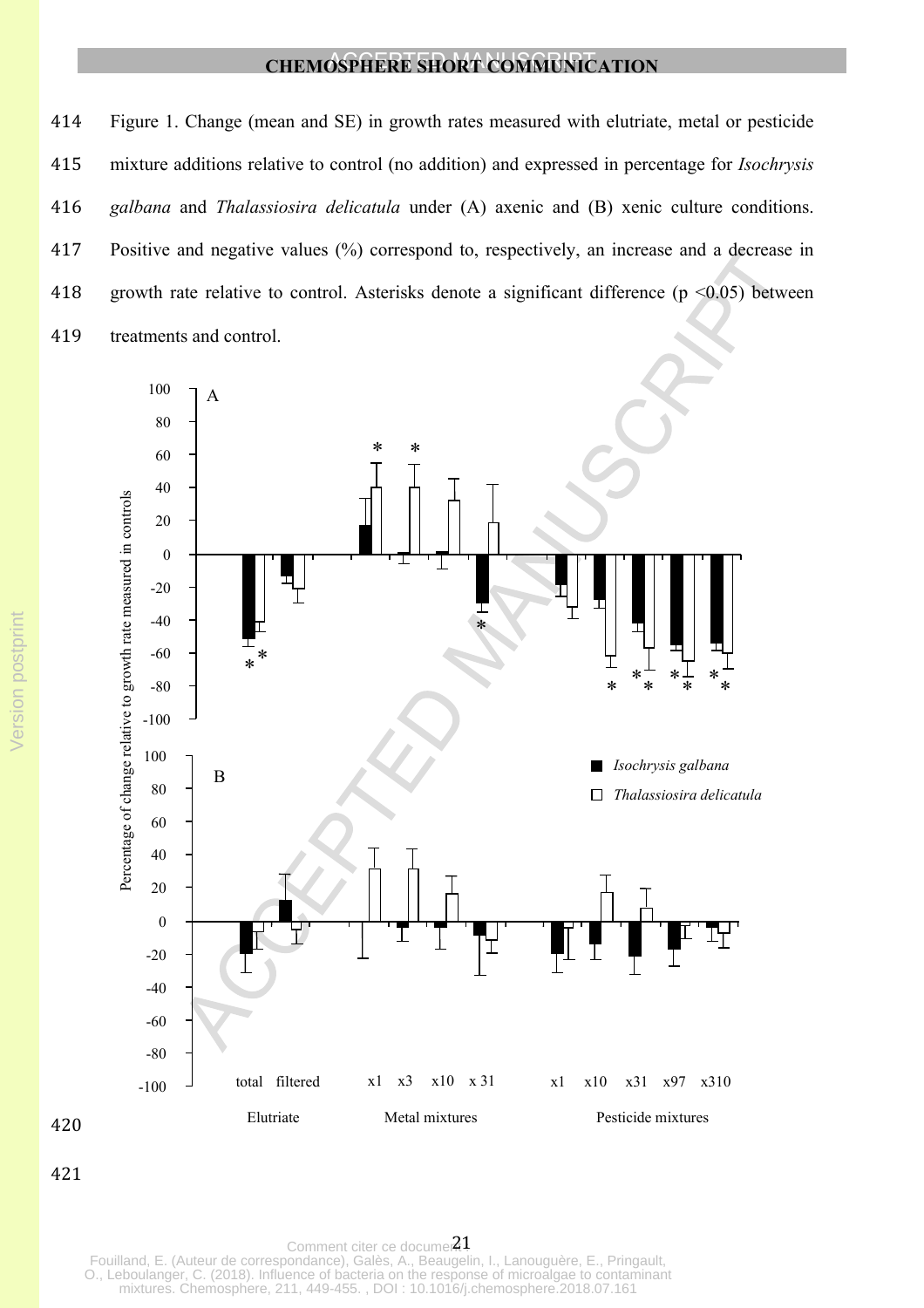Figure 1. Change (mean and SE) in growth rates measured with elutriate, metal or pesticide mixture additions relative to control (no addition) and expressed in percentage for *Isochrysis galbana* and *Thalassiosira delicatula* under (A) axenic and (B) xenic culture conditions. Positive and negative values (%) correspond to, respectively, an increase and a decrease in growth rate relative to control. Asterisks denote a significant difference (p <0.05) between treatments and control.



Comment citer ce documer<sup>21</sup> Fouilland, E. (Auteur de correspondance), Galès, A., Beaugelin, I., Lanouguère, E., Pringault, O., Leboulanger, C. (2018). Influence of bacteria on the response of microalgae to contaminant mixtures. Chemosphere, 211, 449-455. , DOI : 10.1016/j.chemosphere.2018.07.161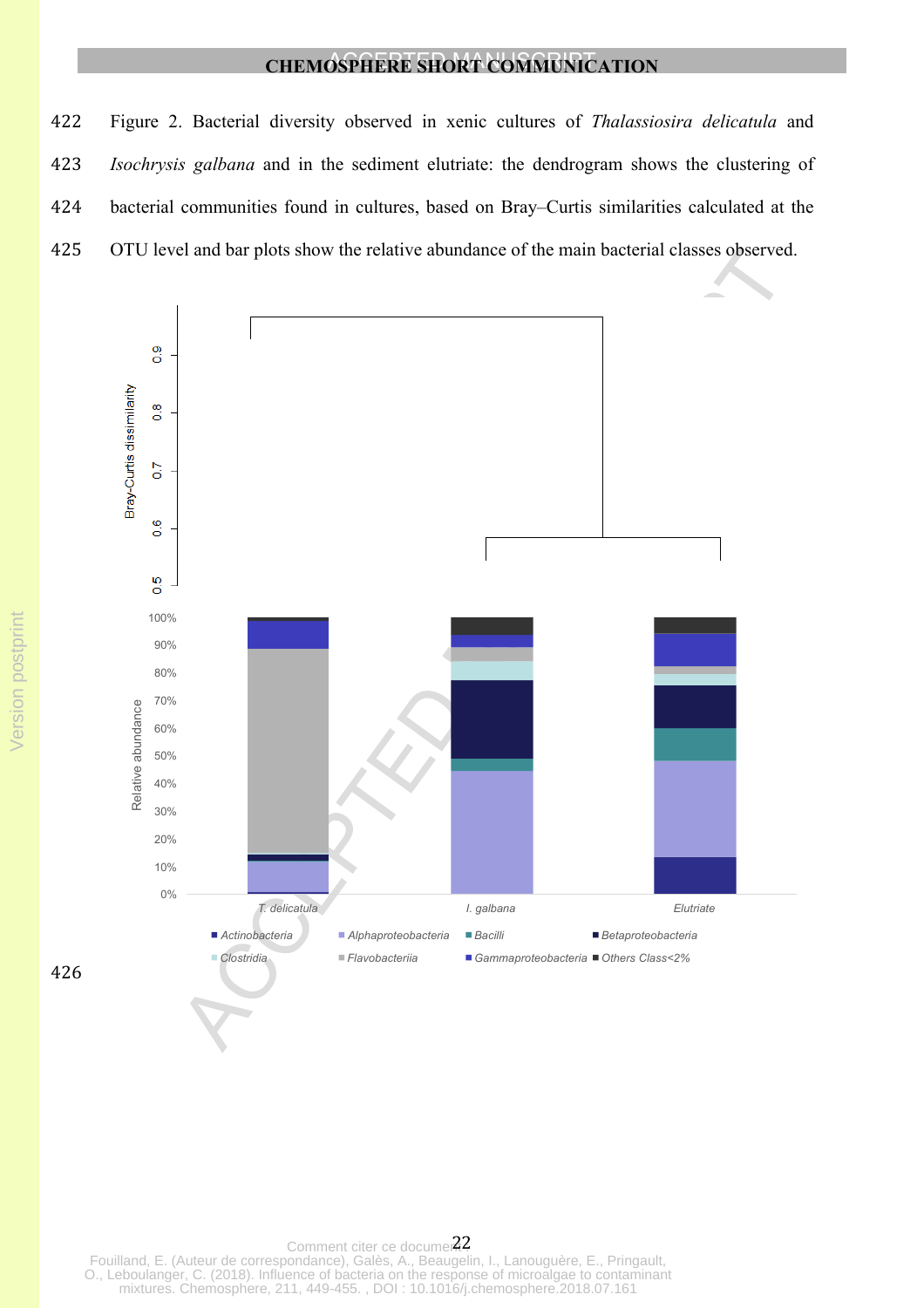Figure 2. Bacterial diversity observed in xenic cultures of *Thalassiosira delicatula* and *Isochrysis galbana* and in the sediment elutriate: the dendrogram shows the clustering of bacterial communities found in cultures, based on Bray–Curtis similarities calculated at the OTU level and bar plots show the relative abundance of the main bacterial classes observed.



Comment citer ce documer<sup>22</sup> Fouilland, E. (Auteur de correspondance), Galès, A., Beaugelin, I., Lanouguère, E., Pringault, O., Leboulanger, C. (2018). Influence of bacteria on the response of microalgae to contaminant mixtures. Chemosphere, 211, 449-455. , DOI : 10.1016/j.chemosphere.2018.07.161